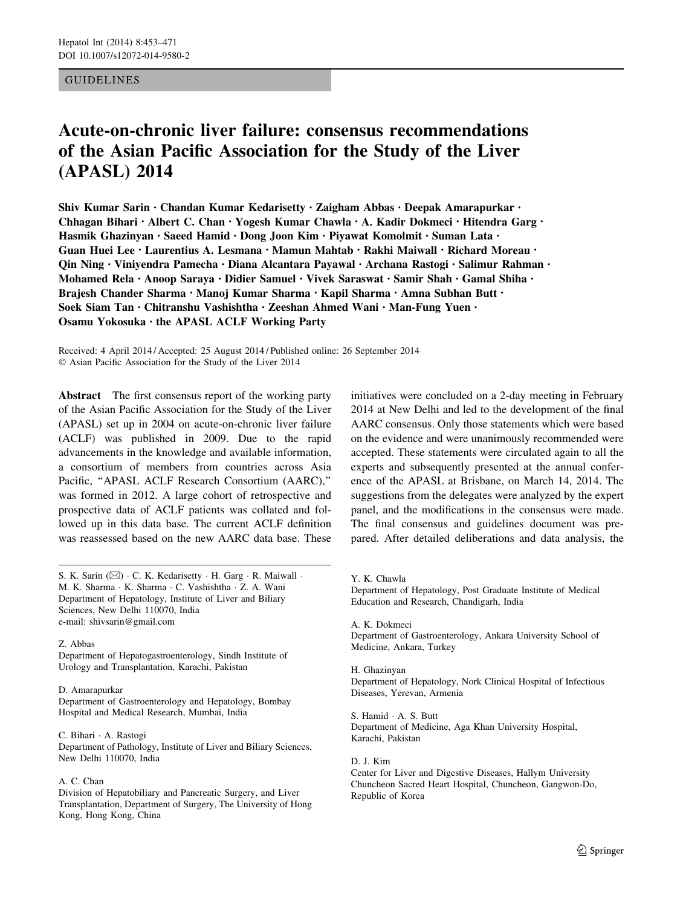# GUIDELINES

# Acute-on-chronic liver failure: consensus recommendations of the Asian Pacific Association for the Study of the Liver (APASL) 2014

Shiv Kumar Sarin • Chandan Kumar Kedarisetty • Zaigham Abbas • Deepak Amarapurkar • Chhagan Bihari • Albert C. Chan • Yogesh Kumar Chawla • A. Kadir Dokmeci • Hitendra Garg • Hasmik Ghazinyan • Saeed Hamid • Dong Joon Kim • Piyawat Komolmit • Suman Lata • Guan Huei Lee • Laurentius A. Lesmana • Mamun Mahtab • Rakhi Maiwall • Richard Moreau • Qin Ning • Viniyendra Pamecha • Diana Alcantara Payawal • Archana Rastogi • Salimur Rahman • Mohamed Rela • Anoop Saraya • Didier Samuel • Vivek Saraswat • Samir Shah • Gamal Shiha • Brajesh Chander Sharma • Manoj Kumar Sharma • Kapil Sharma • Amna Subhan Butt • Soek Siam Tan • Chitranshu Vashishtha • Zeeshan Ahmed Wani • Man-Fung Yuen • Osamu Yokosuka • the APASL ACLF Working Party

Received: 4 April 2014 / Accepted: 25 August 2014 / Published online: 26 September 2014 © Asian Pacific Association for the Study of the Liver 2014

Abstract The first consensus report of the working party of the Asian Pacific Association for the Study of the Liver (APASL) set up in 2004 on acute-on-chronic liver failure (ACLF) was published in 2009. Due to the rapid advancements in the knowledge and available information, a consortium of members from countries across Asia Pacific, ''APASL ACLF Research Consortium (AARC),'' was formed in 2012. A large cohort of retrospective and prospective data of ACLF patients was collated and followed up in this data base. The current ACLF definition was reassessed based on the new AARC data base. These

S. K. Sarin ( $\boxtimes$ ) · C. K. Kedarisetty · H. Garg · R. Maiwall · M. K. Sharma - K. Sharma - C. Vashishtha - Z. A. Wani Department of Hepatology, Institute of Liver and Biliary Sciences, New Delhi 110070, India e-mail: shivsarin@gmail.com

## Z. Abbas

Department of Hepatogastroenterology, Sindh Institute of Urology and Transplantation, Karachi, Pakistan

## D. Amarapurkar

Department of Gastroenterology and Hepatology, Bombay Hospital and Medical Research, Mumbai, India

C. Bihari - A. Rastogi Department of Pathology, Institute of Liver and Biliary Sciences, New Delhi 110070, India

# A. C. Chan

Division of Hepatobiliary and Pancreatic Surgery, and Liver Transplantation, Department of Surgery, The University of Hong Kong, Hong Kong, China

initiatives were concluded on a 2-day meeting in February 2014 at New Delhi and led to the development of the final AARC consensus. Only those statements which were based on the evidence and were unanimously recommended were accepted. These statements were circulated again to all the experts and subsequently presented at the annual conference of the APASL at Brisbane, on March 14, 2014. The suggestions from the delegates were analyzed by the expert panel, and the modifications in the consensus were made. The final consensus and guidelines document was prepared. After detailed deliberations and data analysis, the

Y. K. Chawla Department of Hepatology, Post Graduate Institute of Medical Education and Research, Chandigarh, India

A. K. Dokmeci Department of Gastroenterology, Ankara University School of Medicine, Ankara, Turkey

H. Ghazinyan Department of Hepatology, Nork Clinical Hospital of Infectious Diseases, Yerevan, Armenia

S. Hamid - A. S. Butt Department of Medicine, Aga Khan University Hospital, Karachi, Pakistan

D. J. Kim Center for Liver and Digestive Diseases, Hallym University Chuncheon Sacred Heart Hospital, Chuncheon, Gangwon-Do, Republic of Korea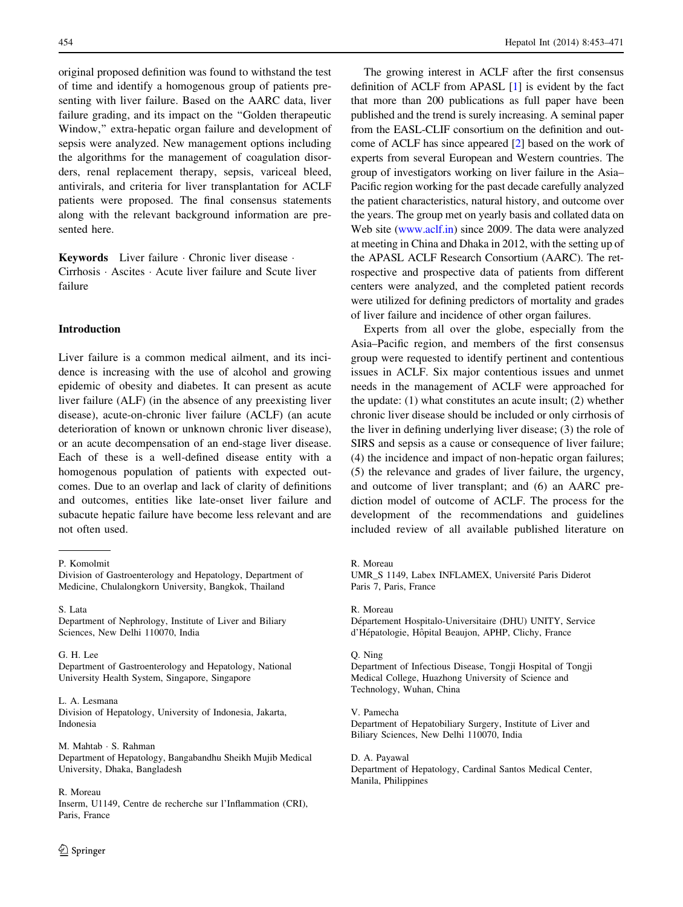original proposed definition was found to withstand the test of time and identify a homogenous group of patients presenting with liver failure. Based on the AARC data, liver failure grading, and its impact on the ''Golden therapeutic Window,'' extra-hepatic organ failure and development of sepsis were analyzed. New management options including the algorithms for the management of coagulation disorders, renal replacement therapy, sepsis, variceal bleed, antivirals, and criteria for liver transplantation for ACLF patients were proposed. The final consensus statements along with the relevant background information are presented here.

Keywords Liver failure - Chronic liver disease - Cirrhosis - Ascites - Acute liver failure and Scute liver failure

## Introduction

Liver failure is a common medical ailment, and its incidence is increasing with the use of alcohol and growing epidemic of obesity and diabetes. It can present as acute liver failure (ALF) (in the absence of any preexisting liver disease), acute-on-chronic liver failure (ACLF) (an acute deterioration of known or unknown chronic liver disease), or an acute decompensation of an end-stage liver disease. Each of these is a well-defined disease entity with a homogenous population of patients with expected outcomes. Due to an overlap and lack of clarity of definitions and outcomes, entities like late-onset liver failure and subacute hepatic failure have become less relevant and are not often used.

G. H. Lee Department of Gastroenterology and Hepatology, National University Health System, Singapore, Singapore

#### L. A. Lesmana

Division of Hepatology, University of Indonesia, Jakarta, Indonesia

M. Mahtab - S. Rahman Department of Hepatology, Bangabandhu Sheikh Mujib Medical University, Dhaka, Bangladesh

## R. Moreau

Inserm, U1149, Centre de recherche sur l'Inflammation (CRI), Paris, France

The growing interest in ACLF after the first consensus definition of ACLF from APASL [\[1](#page-15-0)] is evident by the fact that more than 200 publications as full paper have been published and the trend is surely increasing. A seminal paper from the EASL-CLIF consortium on the definition and outcome of ACLF has since appeared [[2](#page-15-0)] based on the work of experts from several European and Western countries. The group of investigators working on liver failure in the Asia– Pacific region working for the past decade carefully analyzed the patient characteristics, natural history, and outcome over the years. The group met on yearly basis and collated data on Web site [\(www.aclf.in\)](http://www.aclf.in) since 2009. The data were analyzed at meeting in China and Dhaka in 2012, with the setting up of the APASL ACLF Research Consortium (AARC). The retrospective and prospective data of patients from different centers were analyzed, and the completed patient records were utilized for defining predictors of mortality and grades of liver failure and incidence of other organ failures.

Experts from all over the globe, especially from the Asia–Pacific region, and members of the first consensus group were requested to identify pertinent and contentious issues in ACLF. Six major contentious issues and unmet needs in the management of ACLF were approached for the update: (1) what constitutes an acute insult; (2) whether chronic liver disease should be included or only cirrhosis of the liver in defining underlying liver disease; (3) the role of SIRS and sepsis as a cause or consequence of liver failure; (4) the incidence and impact of non-hepatic organ failures; (5) the relevance and grades of liver failure, the urgency, and outcome of liver transplant; and (6) an AARC prediction model of outcome of ACLF. The process for the development of the recommendations and guidelines included review of all available published literature on

R. Moreau

Département Hospitalo-Universitaire (DHU) UNITY, Service d'Hépatologie, Hôpital Beaujon, APHP, Clichy, France

## Q. Ning

Department of Infectious Disease, Tongji Hospital of Tongji Medical College, Huazhong University of Science and Technology, Wuhan, China

V. Pamecha Department of Hepatobiliary Surgery, Institute of Liver and Biliary Sciences, New Delhi 110070, India

D. A. Payawal Department of Hepatology, Cardinal Santos Medical Center, Manila, Philippines

P. Komolmit

Division of Gastroenterology and Hepatology, Department of Medicine, Chulalongkorn University, Bangkok, Thailand

S. Lata Department of Nephrology, Institute of Liver and Biliary Sciences, New Delhi 110070, India

R. Moreau

UMR\_S 1149, Labex INFLAMEX, Université Paris Diderot Paris 7, Paris, France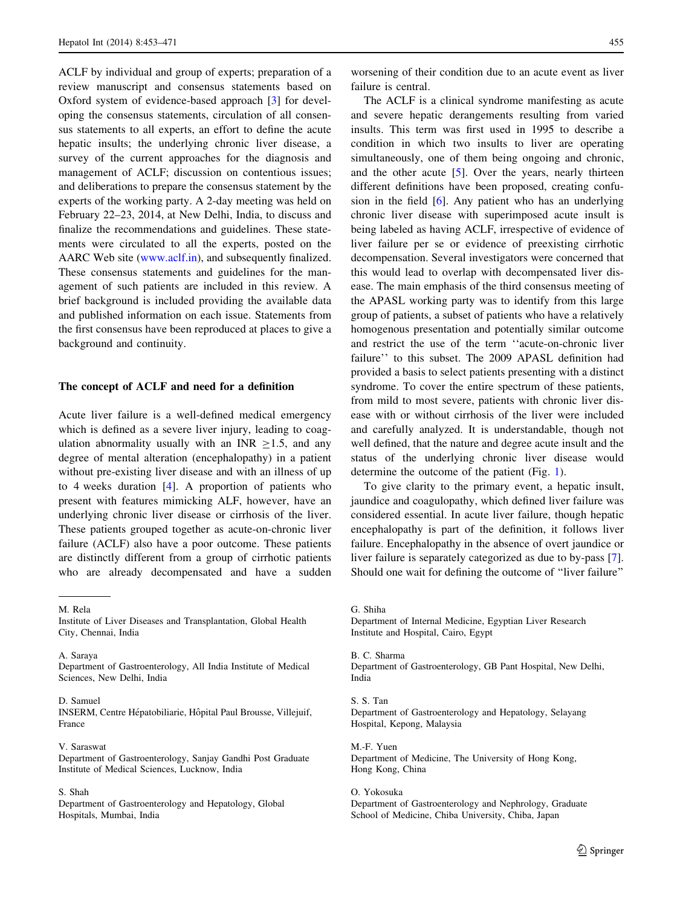ACLF by individual and group of experts; preparation of a review manuscript and consensus statements based on Oxford system of evidence-based approach [[3\]](#page-15-0) for developing the consensus statements, circulation of all consensus statements to all experts, an effort to define the acute hepatic insults; the underlying chronic liver disease, a survey of the current approaches for the diagnosis and management of ACLF; discussion on contentious issues; and deliberations to prepare the consensus statement by the experts of the working party. A 2-day meeting was held on February 22–23, 2014, at New Delhi, India, to discuss and finalize the recommendations and guidelines. These statements were circulated to all the experts, posted on the AARC Web site ([www.aclf.in\)](http://www.aclf.in), and subsequently finalized. These consensus statements and guidelines for the management of such patients are included in this review. A brief background is included providing the available data and published information on each issue. Statements from the first consensus have been reproduced at places to give a background and continuity.

# The concept of ACLF and need for a definition

Acute liver failure is a well-defined medical emergency which is defined as a severe liver injury, leading to coagulation abnormality usually with an INR  $\geq$ 1.5, and any degree of mental alteration (encephalopathy) in a patient without pre-existing liver disease and with an illness of up to 4 weeks duration [\[4](#page-15-0)]. A proportion of patients who present with features mimicking ALF, however, have an underlying chronic liver disease or cirrhosis of the liver. These patients grouped together as acute-on-chronic liver failure (ACLF) also have a poor outcome. These patients are distinctly different from a group of cirrhotic patients who are already decompensated and have a sudden

M. Rela Institute of Liver Diseases and Transplantation, Global Health City, Chennai, India

A. Saraya Department of Gastroenterology, All India Institute of Medical Sciences, New Delhi, India

#### D. Samuel

INSERM, Centre Hépatobiliarie, Hôpital Paul Brousse, Villejuif, France

#### V. Saraswat

Department of Gastroenterology, Sanjay Gandhi Post Graduate Institute of Medical Sciences, Lucknow, India

#### S. Shah

Department of Gastroenterology and Hepatology, Global Hospitals, Mumbai, India

worsening of their condition due to an acute event as liver failure is central.

The ACLF is a clinical syndrome manifesting as acute and severe hepatic derangements resulting from varied insults. This term was first used in 1995 to describe a condition in which two insults to liver are operating simultaneously, one of them being ongoing and chronic, and the other acute  $[5]$  $[5]$ . Over the years, nearly thirteen different definitions have been proposed, creating confusion in the field [[6\]](#page-15-0). Any patient who has an underlying chronic liver disease with superimposed acute insult is being labeled as having ACLF, irrespective of evidence of liver failure per se or evidence of preexisting cirrhotic decompensation. Several investigators were concerned that this would lead to overlap with decompensated liver disease. The main emphasis of the third consensus meeting of the APASL working party was to identify from this large group of patients, a subset of patients who have a relatively homogenous presentation and potentially similar outcome and restrict the use of the term ''acute-on-chronic liver failure'' to this subset. The 2009 APASL definition had provided a basis to select patients presenting with a distinct syndrome. To cover the entire spectrum of these patients, from mild to most severe, patients with chronic liver disease with or without cirrhosis of the liver were included and carefully analyzed. It is understandable, though not well defined, that the nature and degree acute insult and the status of the underlying chronic liver disease would determine the outcome of the patient (Fig. [1](#page-3-0)).

To give clarity to the primary event, a hepatic insult, jaundice and coagulopathy, which defined liver failure was considered essential. In acute liver failure, though hepatic encephalopathy is part of the definition, it follows liver failure. Encephalopathy in the absence of overt jaundice or liver failure is separately categorized as due to by-pass [\[7](#page-15-0)]. Should one wait for defining the outcome of ''liver failure''

Department of Internal Medicine, Egyptian Liver Research Institute and Hospital, Cairo, Egypt

B. C. Sharma Department of Gastroenterology, GB Pant Hospital, New Delhi, India

S. S. Tan Department of Gastroenterology and Hepatology, Selayang Hospital, Kepong, Malaysia

M.-F. Yuen Department of Medicine, The University of Hong Kong, Hong Kong, China

O. Yokosuka Department of Gastroenterology and Nephrology, Graduate School of Medicine, Chiba University, Chiba, Japan

G. Shiha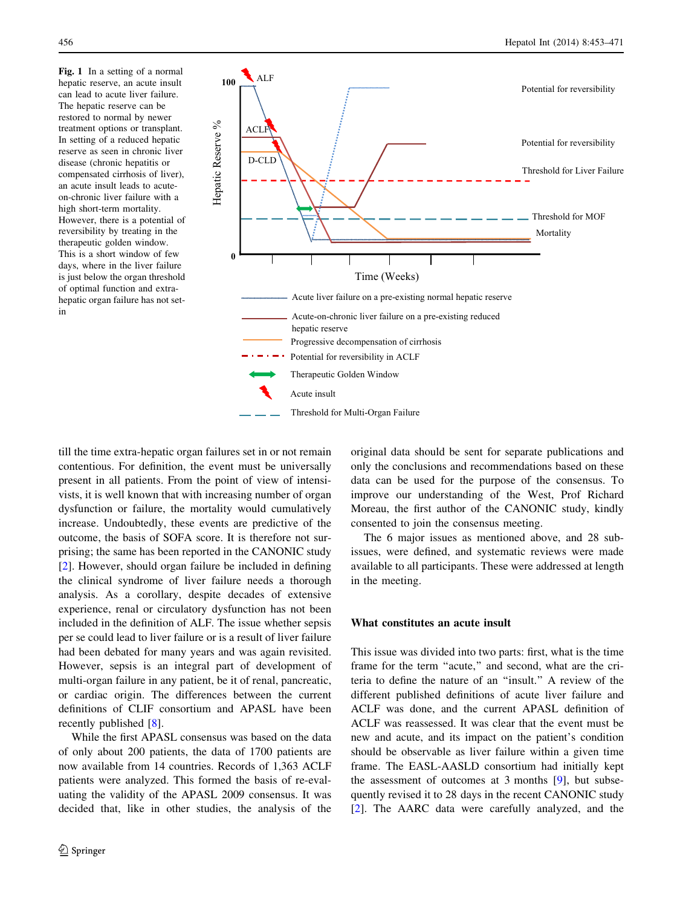<span id="page-3-0"></span>Fig. 1 In a setting of a normal hepatic reserve, an acute insult can lead to acute liver failure. The hepatic reserve can be restored to normal by newer treatment options or transplant. In setting of a reduced hepatic reserve as seen in chronic liver disease (chronic hepatitis or compensated cirrhosis of liver), an acute insult leads to acuteon-chronic liver failure with a high short-term mortality. However, there is a potential of reversibility by treating in the therapeutic golden window. This is a short window of few days, where in the liver failure is just below the organ threshold of optimal function and extrahepatic organ failure has not setin



till the time extra-hepatic organ failures set in or not remain contentious. For definition, the event must be universally present in all patients. From the point of view of intensivists, it is well known that with increasing number of organ dysfunction or failure, the mortality would cumulatively increase. Undoubtedly, these events are predictive of the outcome, the basis of SOFA score. It is therefore not surprising; the same has been reported in the CANONIC study [\[2](#page-15-0)]. However, should organ failure be included in defining the clinical syndrome of liver failure needs a thorough analysis. As a corollary, despite decades of extensive experience, renal or circulatory dysfunction has not been included in the definition of ALF. The issue whether sepsis per se could lead to liver failure or is a result of liver failure had been debated for many years and was again revisited. However, sepsis is an integral part of development of multi-organ failure in any patient, be it of renal, pancreatic, or cardiac origin. The differences between the current definitions of CLIF consortium and APASL have been recently published [\[8](#page-15-0)].

While the first APASL consensus was based on the data of only about 200 patients, the data of 1700 patients are now available from 14 countries. Records of 1,363 ACLF patients were analyzed. This formed the basis of re-evaluating the validity of the APASL 2009 consensus. It was decided that, like in other studies, the analysis of the original data should be sent for separate publications and only the conclusions and recommendations based on these data can be used for the purpose of the consensus. To improve our understanding of the West, Prof Richard Moreau, the first author of the CANONIC study, kindly consented to join the consensus meeting.

The 6 major issues as mentioned above, and 28 subissues, were defined, and systematic reviews were made available to all participants. These were addressed at length in the meeting.

# What constitutes an acute insult

This issue was divided into two parts: first, what is the time frame for the term "acute," and second, what are the criteria to define the nature of an ''insult.'' A review of the different published definitions of acute liver failure and ACLF was done, and the current APASL definition of ACLF was reassessed. It was clear that the event must be new and acute, and its impact on the patient's condition should be observable as liver failure within a given time frame. The EASL-AASLD consortium had initially kept the assessment of outcomes at 3 months [[9\]](#page-15-0), but subsequently revised it to 28 days in the recent CANONIC study [\[2](#page-15-0)]. The AARC data were carefully analyzed, and the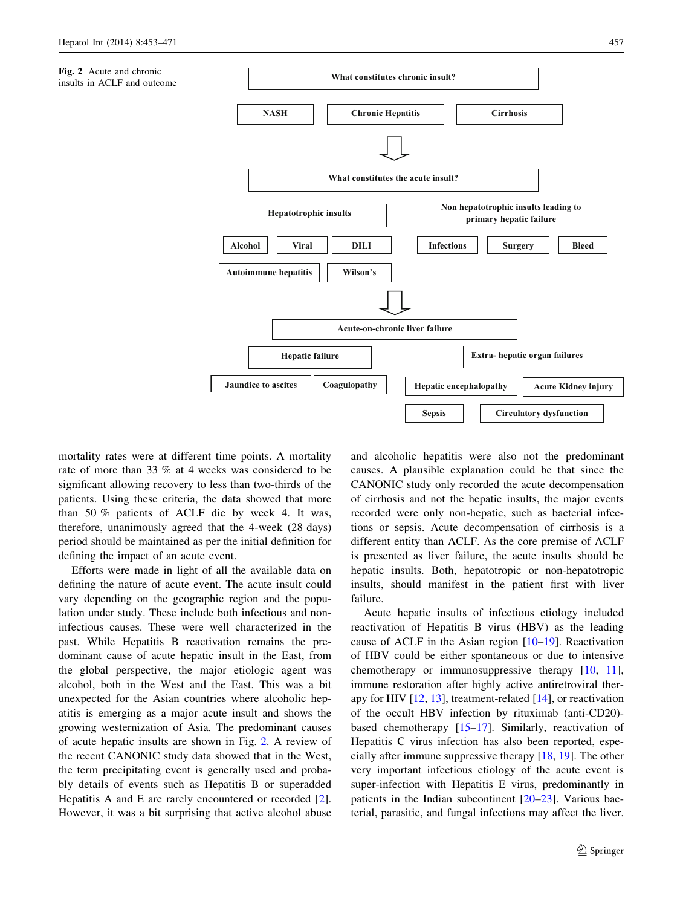



mortality rates were at different time points. A mortality rate of more than 33 % at 4 weeks was considered to be significant allowing recovery to less than two-thirds of the patients. Using these criteria, the data showed that more than 50 % patients of ACLF die by week 4. It was, therefore, unanimously agreed that the 4-week (28 days) period should be maintained as per the initial definition for defining the impact of an acute event.

Efforts were made in light of all the available data on defining the nature of acute event. The acute insult could vary depending on the geographic region and the population under study. These include both infectious and noninfectious causes. These were well characterized in the past. While Hepatitis B reactivation remains the predominant cause of acute hepatic insult in the East, from the global perspective, the major etiologic agent was alcohol, both in the West and the East. This was a bit unexpected for the Asian countries where alcoholic hepatitis is emerging as a major acute insult and shows the growing westernization of Asia. The predominant causes of acute hepatic insults are shown in Fig. 2. A review of the recent CANONIC study data showed that in the West, the term precipitating event is generally used and probably details of events such as Hepatitis B or superadded Hepatitis A and E are rarely encountered or recorded [\[2](#page-15-0)]. However, it was a bit surprising that active alcohol abuse

and alcoholic hepatitis were also not the predominant causes. A plausible explanation could be that since the CANONIC study only recorded the acute decompensation of cirrhosis and not the hepatic insults, the major events recorded were only non-hepatic, such as bacterial infections or sepsis. Acute decompensation of cirrhosis is a different entity than ACLF. As the core premise of ACLF is presented as liver failure, the acute insults should be hepatic insults. Both, hepatotropic or non-hepatotropic insults, should manifest in the patient first with liver failure.

Acute hepatic insults of infectious etiology included reactivation of Hepatitis B virus (HBV) as the leading cause of ACLF in the Asian region [\[10–19](#page-15-0)]. Reactivation of HBV could be either spontaneous or due to intensive chemotherapy or immunosuppressive therapy [[10,](#page-15-0) [11](#page-15-0)], immune restoration after highly active antiretroviral therapy for HIV  $[12, 13]$  $[12, 13]$  $[12, 13]$  $[12, 13]$ , treatment-related  $[14]$  $[14]$ , or reactivation of the occult HBV infection by rituximab (anti-CD20) based chemotherapy [[15–17\]](#page-15-0). Similarly, reactivation of Hepatitis C virus infection has also been reported, especially after immune suppressive therapy [\[18](#page-15-0), [19](#page-15-0)]. The other very important infectious etiology of the acute event is super-infection with Hepatitis E virus, predominantly in patients in the Indian subcontinent [[20–23\]](#page-15-0). Various bacterial, parasitic, and fungal infections may affect the liver.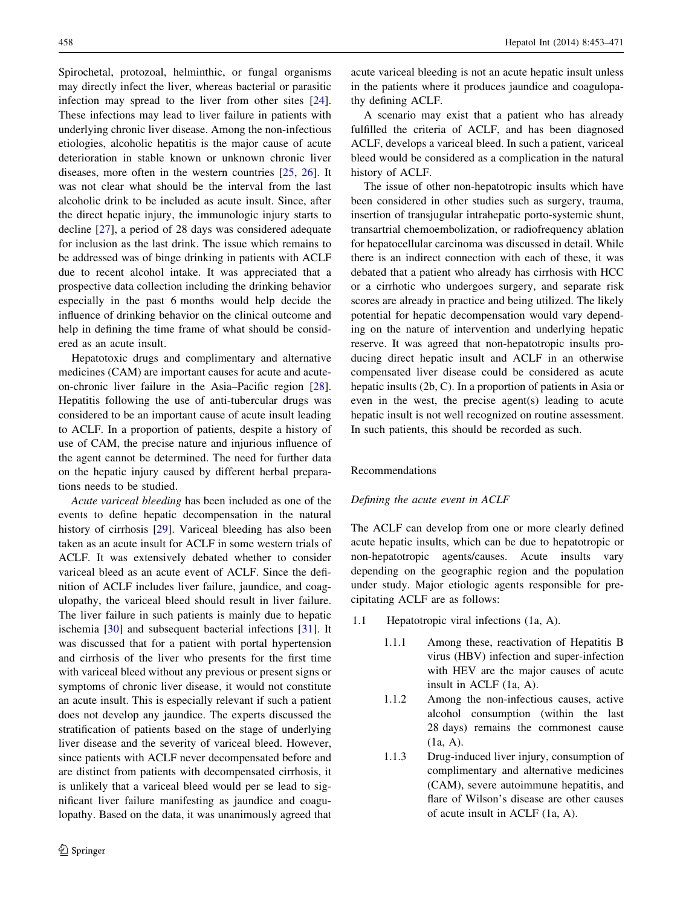Spirochetal, protozoal, helminthic, or fungal organisms may directly infect the liver, whereas bacterial or parasitic infection may spread to the liver from other sites [\[24](#page-15-0)]. These infections may lead to liver failure in patients with underlying chronic liver disease. Among the non-infectious etiologies, alcoholic hepatitis is the major cause of acute deterioration in stable known or unknown chronic liver diseases, more often in the western countries [[25,](#page-15-0) [26](#page-15-0)]. It was not clear what should be the interval from the last alcoholic drink to be included as acute insult. Since, after the direct hepatic injury, the immunologic injury starts to decline [[27\]](#page-15-0), a period of 28 days was considered adequate for inclusion as the last drink. The issue which remains to be addressed was of binge drinking in patients with ACLF due to recent alcohol intake. It was appreciated that a prospective data collection including the drinking behavior especially in the past 6 months would help decide the influence of drinking behavior on the clinical outcome and help in defining the time frame of what should be considered as an acute insult.

Hepatotoxic drugs and complimentary and alternative medicines (CAM) are important causes for acute and acuteon-chronic liver failure in the Asia–Pacific region [\[28](#page-15-0)]. Hepatitis following the use of anti-tubercular drugs was considered to be an important cause of acute insult leading to ACLF. In a proportion of patients, despite a history of use of CAM, the precise nature and injurious influence of the agent cannot be determined. The need for further data on the hepatic injury caused by different herbal preparations needs to be studied.

Acute variceal bleeding has been included as one of the events to define hepatic decompensation in the natural history of cirrhosis [[29\]](#page-15-0). Variceal bleeding has also been taken as an acute insult for ACLF in some western trials of ACLF. It was extensively debated whether to consider variceal bleed as an acute event of ACLF. Since the definition of ACLF includes liver failure, jaundice, and coagulopathy, the variceal bleed should result in liver failure. The liver failure in such patients is mainly due to hepatic ischemia [[30\]](#page-15-0) and subsequent bacterial infections [\[31](#page-15-0)]. It was discussed that for a patient with portal hypertension and cirrhosis of the liver who presents for the first time with variceal bleed without any previous or present signs or symptoms of chronic liver disease, it would not constitute an acute insult. This is especially relevant if such a patient does not develop any jaundice. The experts discussed the stratification of patients based on the stage of underlying liver disease and the severity of variceal bleed. However, since patients with ACLF never decompensated before and are distinct from patients with decompensated cirrhosis, it is unlikely that a variceal bleed would per se lead to significant liver failure manifesting as jaundice and coagulopathy. Based on the data, it was unanimously agreed that

acute variceal bleeding is not an acute hepatic insult unless in the patients where it produces jaundice and coagulopathy defining ACLF.

A scenario may exist that a patient who has already fulfilled the criteria of ACLF, and has been diagnosed ACLF, develops a variceal bleed. In such a patient, variceal bleed would be considered as a complication in the natural history of ACLF.

The issue of other non-hepatotropic insults which have been considered in other studies such as surgery, trauma, insertion of transjugular intrahepatic porto-systemic shunt, transartrial chemoembolization, or radiofrequency ablation for hepatocellular carcinoma was discussed in detail. While there is an indirect connection with each of these, it was debated that a patient who already has cirrhosis with HCC or a cirrhotic who undergoes surgery, and separate risk scores are already in practice and being utilized. The likely potential for hepatic decompensation would vary depending on the nature of intervention and underlying hepatic reserve. It was agreed that non-hepatotropic insults producing direct hepatic insult and ACLF in an otherwise compensated liver disease could be considered as acute hepatic insults (2b, C). In a proportion of patients in Asia or even in the west, the precise agent(s) leading to acute hepatic insult is not well recognized on routine assessment. In such patients, this should be recorded as such.

## Recommendations

# Defining the acute event in ACLF

The ACLF can develop from one or more clearly defined acute hepatic insults, which can be due to hepatotropic or non-hepatotropic agents/causes. Acute insults vary depending on the geographic region and the population under study. Major etiologic agents responsible for precipitating ACLF are as follows:

- 1.1 Hepatotropic viral infections (1a, A).
	- 1.1.1 Among these, reactivation of Hepatitis B virus (HBV) infection and super-infection with HEV are the major causes of acute insult in ACLF (1a, A).
	- 1.1.2 Among the non-infectious causes, active alcohol consumption (within the last 28 days) remains the commonest cause (1a, A).
	- 1.1.3 Drug-induced liver injury, consumption of complimentary and alternative medicines (CAM), severe autoimmune hepatitis, and flare of Wilson's disease are other causes of acute insult in ACLF (1a, A).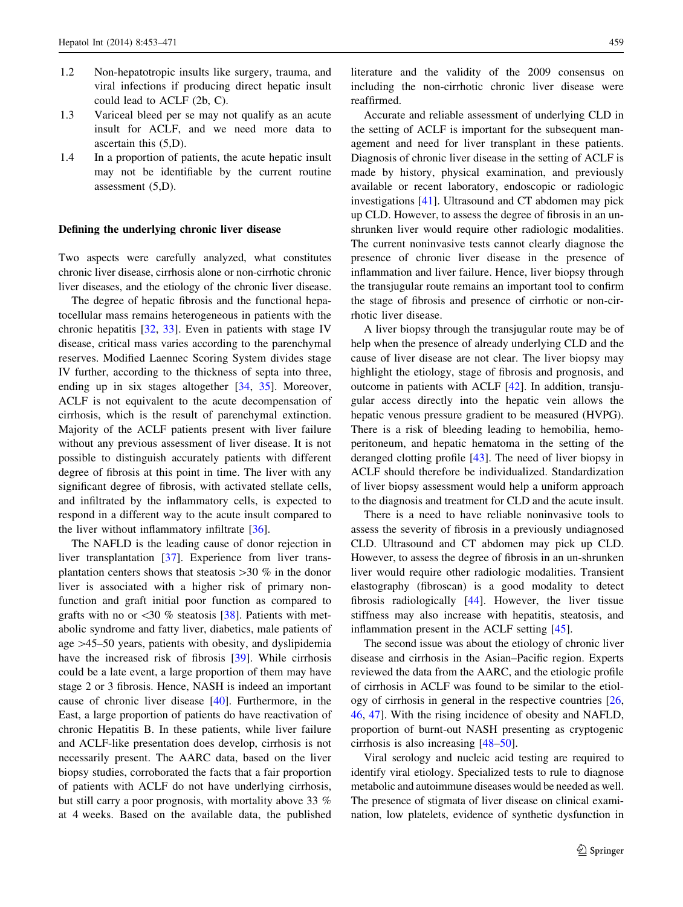- 1.2 Non-hepatotropic insults like surgery, trauma, and viral infections if producing direct hepatic insult could lead to ACLF (2b, C).
- 1.3 Variceal bleed per se may not qualify as an acute insult for ACLF, and we need more data to ascertain this (5,D).
- 1.4 In a proportion of patients, the acute hepatic insult may not be identifiable by the current routine assessment (5,D).

## Defining the underlying chronic liver disease

Two aspects were carefully analyzed, what constitutes chronic liver disease, cirrhosis alone or non-cirrhotic chronic liver diseases, and the etiology of the chronic liver disease.

The degree of hepatic fibrosis and the functional hepatocellular mass remains heterogeneous in patients with the chronic hepatitis [[32,](#page-16-0) [33](#page-16-0)]. Even in patients with stage IV disease, critical mass varies according to the parenchymal reserves. Modified Laennec Scoring System divides stage IV further, according to the thickness of septa into three, ending up in six stages altogether [\[34](#page-16-0), [35](#page-16-0)]. Moreover, ACLF is not equivalent to the acute decompensation of cirrhosis, which is the result of parenchymal extinction. Majority of the ACLF patients present with liver failure without any previous assessment of liver disease. It is not possible to distinguish accurately patients with different degree of fibrosis at this point in time. The liver with any significant degree of fibrosis, with activated stellate cells, and infiltrated by the inflammatory cells, is expected to respond in a different way to the acute insult compared to the liver without inflammatory infiltrate [\[36](#page-16-0)].

The NAFLD is the leading cause of donor rejection in liver transplantation [\[37](#page-16-0)]. Experience from liver transplantation centers shows that steatosis  $>$ 30 % in the donor liver is associated with a higher risk of primary nonfunction and graft initial poor function as compared to grafts with no or  $\langle 30 \ \%$  steatosis [38]. Patients with met- $\langle 30 \ \%$  steatosis [38]. Patients with met- $\langle 30 \ \%$  steatosis [38]. Patients with metabolic syndrome and fatty liver, diabetics, male patients of age  $>45-50$  years, patients with obesity, and dyslipidemia have the increased risk of fibrosis [[39\]](#page-16-0). While cirrhosis could be a late event, a large proportion of them may have stage 2 or 3 fibrosis. Hence, NASH is indeed an important cause of chronic liver disease [\[40](#page-16-0)]. Furthermore, in the East, a large proportion of patients do have reactivation of chronic Hepatitis B. In these patients, while liver failure and ACLF-like presentation does develop, cirrhosis is not necessarily present. The AARC data, based on the liver biopsy studies, corroborated the facts that a fair proportion of patients with ACLF do not have underlying cirrhosis, but still carry a poor prognosis, with mortality above 33 % at 4 weeks. Based on the available data, the published literature and the validity of the 2009 consensus on including the non-cirrhotic chronic liver disease were reaffirmed.

Accurate and reliable assessment of underlying CLD in the setting of ACLF is important for the subsequent management and need for liver transplant in these patients. Diagnosis of chronic liver disease in the setting of ACLF is made by history, physical examination, and previously available or recent laboratory, endoscopic or radiologic investigations [\[41](#page-16-0)]. Ultrasound and CT abdomen may pick up CLD. However, to assess the degree of fibrosis in an unshrunken liver would require other radiologic modalities. The current noninvasive tests cannot clearly diagnose the presence of chronic liver disease in the presence of inflammation and liver failure. Hence, liver biopsy through the transjugular route remains an important tool to confirm the stage of fibrosis and presence of cirrhotic or non-cirrhotic liver disease.

A liver biopsy through the transjugular route may be of help when the presence of already underlying CLD and the cause of liver disease are not clear. The liver biopsy may highlight the etiology, stage of fibrosis and prognosis, and outcome in patients with ACLF [[42\]](#page-16-0). In addition, transjugular access directly into the hepatic vein allows the hepatic venous pressure gradient to be measured (HVPG). There is a risk of bleeding leading to hemobilia, hemoperitoneum, and hepatic hematoma in the setting of the deranged clotting profile [[43\]](#page-16-0). The need of liver biopsy in ACLF should therefore be individualized. Standardization of liver biopsy assessment would help a uniform approach to the diagnosis and treatment for CLD and the acute insult.

There is a need to have reliable noninvasive tools to assess the severity of fibrosis in a previously undiagnosed CLD. Ultrasound and CT abdomen may pick up CLD. However, to assess the degree of fibrosis in an un-shrunken liver would require other radiologic modalities. Transient elastography (fibroscan) is a good modality to detect fibrosis radiologically [\[44](#page-16-0)]. However, the liver tissue stiffness may also increase with hepatitis, steatosis, and inflammation present in the ACLF setting [\[45\]](#page-16-0).

The second issue was about the etiology of chronic liver disease and cirrhosis in the Asian–Pacific region. Experts reviewed the data from the AARC, and the etiologic profile of cirrhosis in ACLF was found to be similar to the etiology of cirrhosis in general in the respective countries [[26,](#page-15-0) [46](#page-16-0), [47\]](#page-16-0). With the rising incidence of obesity and NAFLD, proportion of burnt-out NASH presenting as cryptogenic cirrhosis is also increasing [\[48–50](#page-16-0)].

Viral serology and nucleic acid testing are required to identify viral etiology. Specialized tests to rule to diagnose metabolic and autoimmune diseases would be needed as well. The presence of stigmata of liver disease on clinical examination, low platelets, evidence of synthetic dysfunction in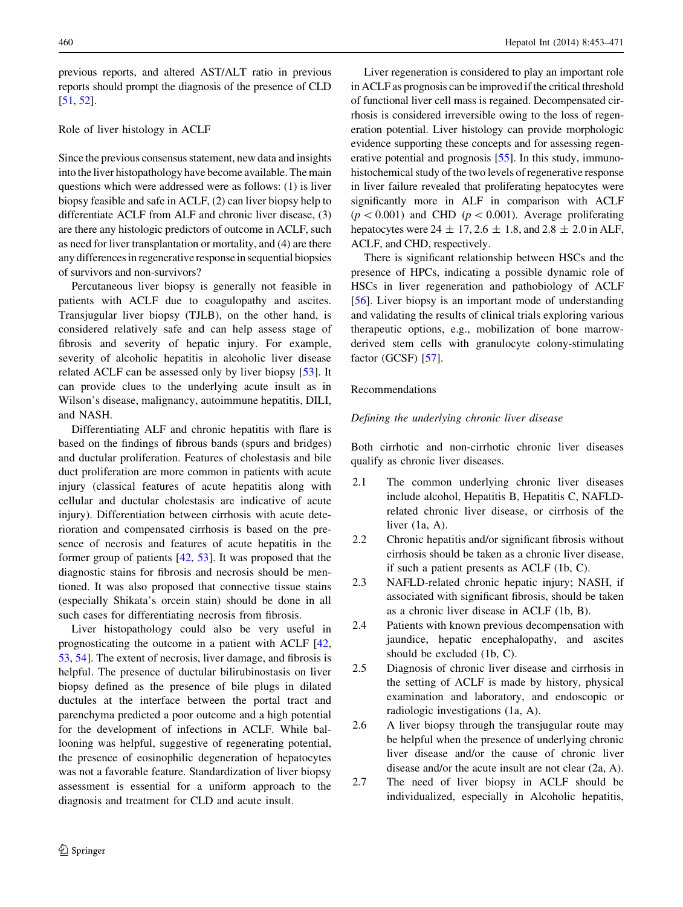previous reports, and altered AST/ALT ratio in previous reports should prompt the diagnosis of the presence of CLD [\[51](#page-16-0), [52\]](#page-16-0).

# Role of liver histology in ACLF

Since the previous consensus statement, new data and insights into the liver histopathology have become available. The main questions which were addressed were as follows: (1) is liver biopsy feasible and safe in ACLF, (2) can liver biopsy help to differentiate ACLF from ALF and chronic liver disease, (3) are there any histologic predictors of outcome in ACLF, such as need for liver transplantation or mortality, and (4) are there any differences in regenerative response in sequential biopsies of survivors and non-survivors?

Percutaneous liver biopsy is generally not feasible in patients with ACLF due to coagulopathy and ascites. Transjugular liver biopsy (TJLB), on the other hand, is considered relatively safe and can help assess stage of fibrosis and severity of hepatic injury. For example, severity of alcoholic hepatitis in alcoholic liver disease related ACLF can be assessed only by liver biopsy [\[53](#page-16-0)]. It can provide clues to the underlying acute insult as in Wilson's disease, malignancy, autoimmune hepatitis, DILI, and NASH.

Differentiating ALF and chronic hepatitis with flare is based on the findings of fibrous bands (spurs and bridges) and ductular proliferation. Features of cholestasis and bile duct proliferation are more common in patients with acute injury (classical features of acute hepatitis along with cellular and ductular cholestasis are indicative of acute injury). Differentiation between cirrhosis with acute deterioration and compensated cirrhosis is based on the presence of necrosis and features of acute hepatitis in the former group of patients [[42,](#page-16-0) [53](#page-16-0)]. It was proposed that the diagnostic stains for fibrosis and necrosis should be mentioned. It was also proposed that connective tissue stains (especially Shikata's orcein stain) should be done in all such cases for differentiating necrosis from fibrosis.

Liver histopathology could also be very useful in prognosticating the outcome in a patient with ACLF [[42,](#page-16-0) [53](#page-16-0), [54\]](#page-16-0). The extent of necrosis, liver damage, and fibrosis is helpful. The presence of ductular bilirubinostasis on liver biopsy defined as the presence of bile plugs in dilated ductules at the interface between the portal tract and parenchyma predicted a poor outcome and a high potential for the development of infections in ACLF. While ballooning was helpful, suggestive of regenerating potential, the presence of eosinophilic degeneration of hepatocytes was not a favorable feature. Standardization of liver biopsy assessment is essential for a uniform approach to the diagnosis and treatment for CLD and acute insult.

Liver regeneration is considered to play an important role in ACLF as prognosis can be improved if the critical threshold of functional liver cell mass is regained. Decompensated cirrhosis is considered irreversible owing to the loss of regeneration potential. Liver histology can provide morphologic evidence supporting these concepts and for assessing regenerative potential and prognosis [[55](#page-16-0)]. In this study, immunohistochemical study of the two levels of regenerative response in liver failure revealed that proliferating hepatocytes were significantly more in ALF in comparison with ACLF  $(p<0.001)$  and CHD  $(p<0.001)$ . Average proliferating hepatocytes were  $24 \pm 17$ ,  $2.6 \pm 1.8$ , and  $2.8 \pm 2.0$  in ALF, ACLF, and CHD, respectively.

There is significant relationship between HSCs and the presence of HPCs, indicating a possible dynamic role of HSCs in liver regeneration and pathobiology of ACLF [\[56](#page-16-0)]. Liver biopsy is an important mode of understanding and validating the results of clinical trials exploring various therapeutic options, e.g., mobilization of bone marrowderived stem cells with granulocyte colony-stimulating factor (GCSF) [\[57\]](#page-16-0).

# Recommendations

## Defining the underlying chronic liver disease

Both cirrhotic and non-cirrhotic chronic liver diseases qualify as chronic liver diseases.

- 2.1 The common underlying chronic liver diseases include alcohol, Hepatitis B, Hepatitis C, NAFLDrelated chronic liver disease, or cirrhosis of the liver (1a, A).
- 2.2 Chronic hepatitis and/or significant fibrosis without cirrhosis should be taken as a chronic liver disease, if such a patient presents as ACLF (1b, C).
- 2.3 NAFLD-related chronic hepatic injury; NASH, if associated with significant fibrosis, should be taken as a chronic liver disease in ACLF (1b, B).
- 2.4 Patients with known previous decompensation with jaundice, hepatic encephalopathy, and ascites should be excluded (1b, C).
- 2.5 Diagnosis of chronic liver disease and cirrhosis in the setting of ACLF is made by history, physical examination and laboratory, and endoscopic or radiologic investigations (1a, A).
- 2.6 A liver biopsy through the transjugular route may be helpful when the presence of underlying chronic liver disease and/or the cause of chronic liver disease and/or the acute insult are not clear (2a, A).
- 2.7 The need of liver biopsy in ACLF should be individualized, especially in Alcoholic hepatitis,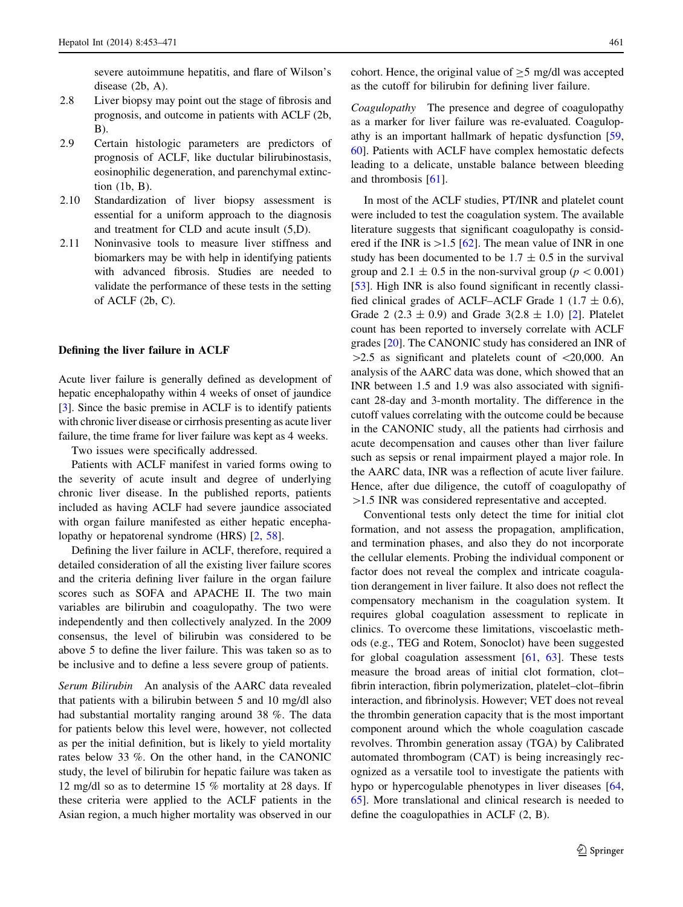severe autoimmune hepatitis, and flare of Wilson's disease (2b, A).

- 2.8 Liver biopsy may point out the stage of fibrosis and prognosis, and outcome in patients with ACLF (2b, B).
- 2.9 Certain histologic parameters are predictors of prognosis of ACLF, like ductular bilirubinostasis, eosinophilic degeneration, and parenchymal extinction (1b, B).
- 2.10 Standardization of liver biopsy assessment is essential for a uniform approach to the diagnosis and treatment for CLD and acute insult (5,D).
- 2.11 Noninvasive tools to measure liver stiffness and biomarkers may be with help in identifying patients with advanced fibrosis. Studies are needed to validate the performance of these tests in the setting of ACLF (2b, C).

# Defining the liver failure in ACLF

Acute liver failure is generally defined as development of hepatic encephalopathy within 4 weeks of onset of jaundice [\[3](#page-15-0)]. Since the basic premise in ACLF is to identify patients with chronic liver disease or cirrhosis presenting as acute liver failure, the time frame for liver failure was kept as 4 weeks.

Two issues were specifically addressed.

Patients with ACLF manifest in varied forms owing to the severity of acute insult and degree of underlying chronic liver disease. In the published reports, patients included as having ACLF had severe jaundice associated with organ failure manifested as either hepatic encephalopathy or hepatorenal syndrome (HRS) [\[2](#page-15-0), [58](#page-16-0)].

Defining the liver failure in ACLF, therefore, required a detailed consideration of all the existing liver failure scores and the criteria defining liver failure in the organ failure scores such as SOFA and APACHE II. The two main variables are bilirubin and coagulopathy. The two were independently and then collectively analyzed. In the 2009 consensus, the level of bilirubin was considered to be above 5 to define the liver failure. This was taken so as to be inclusive and to define a less severe group of patients.

Serum Bilirubin An analysis of the AARC data revealed that patients with a bilirubin between 5 and 10 mg/dl also had substantial mortality ranging around 38 %. The data for patients below this level were, however, not collected as per the initial definition, but is likely to yield mortality rates below 33 %. On the other hand, in the CANONIC study, the level of bilirubin for hepatic failure was taken as 12 mg/dl so as to determine 15 % mortality at 28 days. If these criteria were applied to the ACLF patients in the Asian region, a much higher mortality was observed in our cohort. Hence, the original value of  $\geq$ 5 mg/dl was accepted as the cutoff for bilirubin for defining liver failure.

Coagulopathy The presence and degree of coagulopathy as a marker for liver failure was re-evaluated. Coagulopathy is an important hallmark of hepatic dysfunction [[59,](#page-16-0) [60](#page-16-0)]. Patients with ACLF have complex hemostatic defects leading to a delicate, unstable balance between bleeding and thrombosis [[61\]](#page-16-0).

In most of the ACLF studies, PT/INR and platelet count were included to test the coagulation system. The available literature suggests that significant coagulopathy is considered if the INR is  $>1.5$  [[62\]](#page-16-0). The mean value of INR in one study has been documented to be  $1.7 \pm 0.5$  in the survival group and 2.1  $\pm$  0.5 in the non-survival group ( $p < 0.001$ ) [\[53](#page-16-0)]. High INR is also found significant in recently classified clinical grades of ACLF–ACLF Grade 1 (1.7  $\pm$  0.6), Grade 2 (2.3  $\pm$  0.9) and Grade 3(2.8  $\pm$  1.0) [\[2](#page-15-0)]. Platelet count has been reported to inversely correlate with ACLF grades [[20\]](#page-15-0). The CANONIC study has considered an INR of  $>2.5$  as significant and platelets count of  $\langle 20,000, \text{ An} \rangle$ analysis of the AARC data was done, which showed that an INR between 1.5 and 1.9 was also associated with significant 28-day and 3-month mortality. The difference in the cutoff values correlating with the outcome could be because in the CANONIC study, all the patients had cirrhosis and acute decompensation and causes other than liver failure such as sepsis or renal impairment played a major role. In the AARC data, INR was a reflection of acute liver failure. Hence, after due diligence, the cutoff of coagulopathy of  $>1.5$  INR was considered representative and accepted.

Conventional tests only detect the time for initial clot formation, and not assess the propagation, amplification, and termination phases, and also they do not incorporate the cellular elements. Probing the individual component or factor does not reveal the complex and intricate coagulation derangement in liver failure. It also does not reflect the compensatory mechanism in the coagulation system. It requires global coagulation assessment to replicate in clinics. To overcome these limitations, viscoelastic methods (e.g., TEG and Rotem, Sonoclot) have been suggested for global coagulation assessment [\[61](#page-16-0), [63](#page-16-0)]. These tests measure the broad areas of initial clot formation, clot– fibrin interaction, fibrin polymerization, platelet–clot–fibrin interaction, and fibrinolysis. However; VET does not reveal the thrombin generation capacity that is the most important component around which the whole coagulation cascade revolves. Thrombin generation assay (TGA) by Calibrated automated thrombogram (CAT) is being increasingly recognized as a versatile tool to investigate the patients with hypo or hypercogulable phenotypes in liver diseases [[64,](#page-16-0) [65](#page-16-0)]. More translational and clinical research is needed to define the coagulopathies in ACLF (2, B).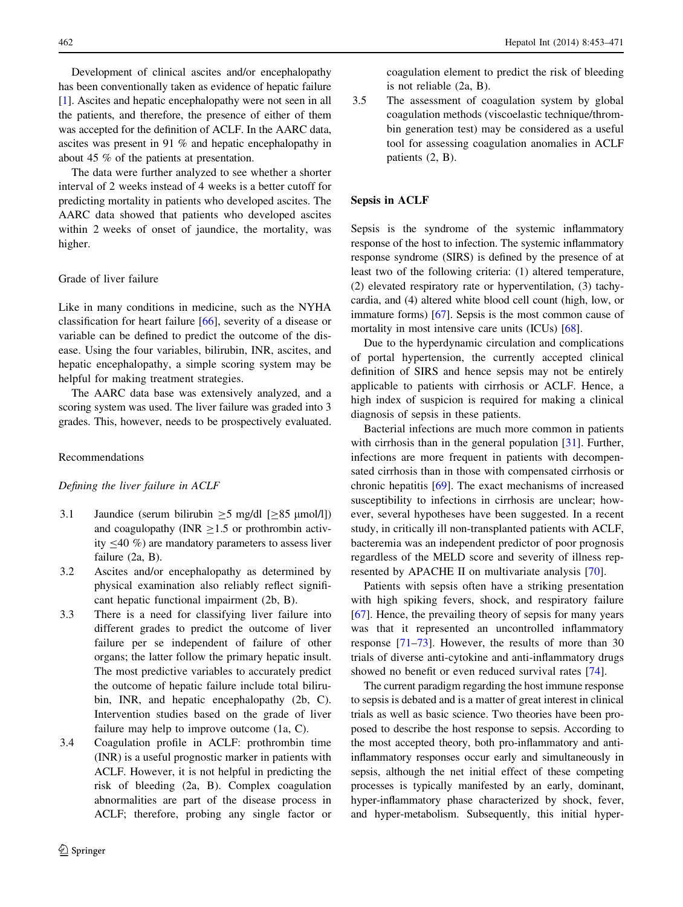Development of clinical ascites and/or encephalopathy has been conventionally taken as evidence of hepatic failure [\[1](#page-15-0)]. Ascites and hepatic encephalopathy were not seen in all the patients, and therefore, the presence of either of them was accepted for the definition of ACLF. In the AARC data, ascites was present in 91 % and hepatic encephalopathy in about 45 % of the patients at presentation.

The data were further analyzed to see whether a shorter interval of 2 weeks instead of 4 weeks is a better cutoff for predicting mortality in patients who developed ascites. The AARC data showed that patients who developed ascites within 2 weeks of onset of jaundice, the mortality, was higher.

# Grade of liver failure

Like in many conditions in medicine, such as the NYHA classification for heart failure [[66\]](#page-16-0), severity of a disease or variable can be defined to predict the outcome of the disease. Using the four variables, bilirubin, INR, ascites, and hepatic encephalopathy, a simple scoring system may be helpful for making treatment strategies.

The AARC data base was extensively analyzed, and a scoring system was used. The liver failure was graded into 3 grades. This, however, needs to be prospectively evaluated.

## Recommendations

#### Defining the liver failure in ACLF

- 3.1 Jaundice (serum bilirubin  $>$  5 mg/dl [ $>$ 85  $\mu$ mol/l]) and coagulopathy (INR  $\geq$ 1.5 or prothrombin activity  $\leq$ 40 %) are mandatory parameters to assess liver failure (2a, B).
- 3.2 Ascites and/or encephalopathy as determined by physical examination also reliably reflect significant hepatic functional impairment (2b, B).
- 3.3 There is a need for classifying liver failure into different grades to predict the outcome of liver failure per se independent of failure of other organs; the latter follow the primary hepatic insult. The most predictive variables to accurately predict the outcome of hepatic failure include total bilirubin, INR, and hepatic encephalopathy (2b, C). Intervention studies based on the grade of liver failure may help to improve outcome (1a, C).
- 3.4 Coagulation profile in ACLF: prothrombin time (INR) is a useful prognostic marker in patients with ACLF. However, it is not helpful in predicting the risk of bleeding (2a, B). Complex coagulation abnormalities are part of the disease process in ACLF; therefore, probing any single factor or

coagulation element to predict the risk of bleeding is not reliable (2a, B).

3.5 The assessment of coagulation system by global coagulation methods (viscoelastic technique/thrombin generation test) may be considered as a useful tool for assessing coagulation anomalies in ACLF patients (2, B).

# Sepsis in ACLF

Sepsis is the syndrome of the systemic inflammatory response of the host to infection. The systemic inflammatory response syndrome (SIRS) is defined by the presence of at least two of the following criteria: (1) altered temperature, (2) elevated respiratory rate or hyperventilation, (3) tachycardia, and (4) altered white blood cell count (high, low, or immature forms) [[67](#page-16-0)]. Sepsis is the most common cause of mortality in most intensive care units (ICUs) [[68\]](#page-16-0).

Due to the hyperdynamic circulation and complications of portal hypertension, the currently accepted clinical definition of SIRS and hence sepsis may not be entirely applicable to patients with cirrhosis or ACLF. Hence, a high index of suspicion is required for making a clinical diagnosis of sepsis in these patients.

Bacterial infections are much more common in patients with cirrhosis than in the general population [\[31](#page-15-0)]. Further, infections are more frequent in patients with decompensated cirrhosis than in those with compensated cirrhosis or chronic hepatitis [[69\]](#page-17-0). The exact mechanisms of increased susceptibility to infections in cirrhosis are unclear; however, several hypotheses have been suggested. In a recent study, in critically ill non-transplanted patients with ACLF, bacteremia was an independent predictor of poor prognosis regardless of the MELD score and severity of illness represented by APACHE II on multivariate analysis [\[70](#page-17-0)].

Patients with sepsis often have a striking presentation with high spiking fevers, shock, and respiratory failure [\[67](#page-16-0)]. Hence, the prevailing theory of sepsis for many years was that it represented an uncontrolled inflammatory response [[71–73\]](#page-17-0). However, the results of more than 30 trials of diverse anti-cytokine and anti-inflammatory drugs showed no benefit or even reduced survival rates [[74\]](#page-17-0).

The current paradigm regarding the host immune response to sepsis is debated and is a matter of great interest in clinical trials as well as basic science. Two theories have been proposed to describe the host response to sepsis. According to the most accepted theory, both pro-inflammatory and antiinflammatory responses occur early and simultaneously in sepsis, although the net initial effect of these competing processes is typically manifested by an early, dominant, hyper-inflammatory phase characterized by shock, fever, and hyper-metabolism. Subsequently, this initial hyper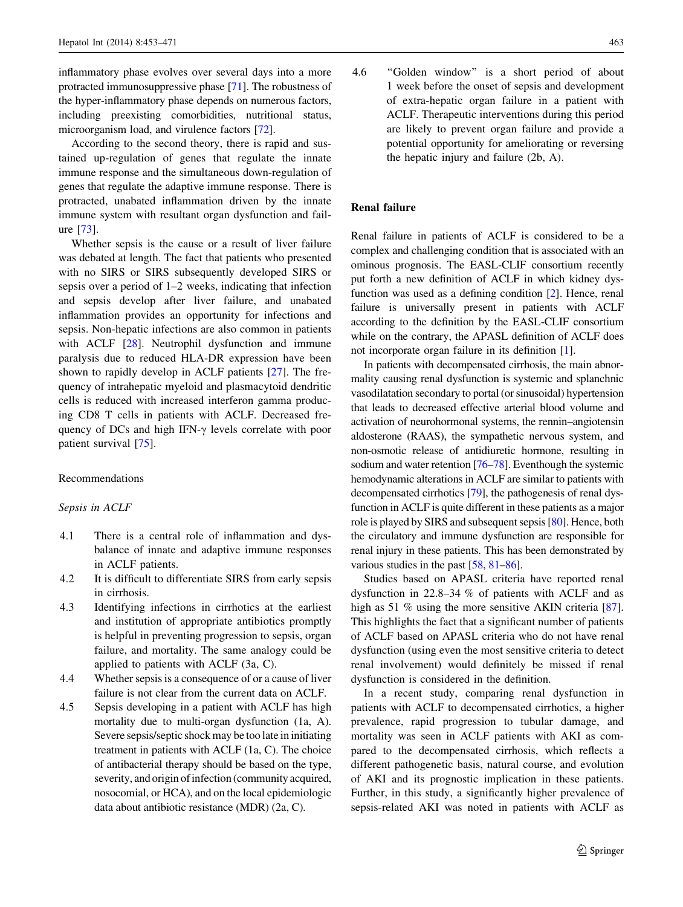inflammatory phase evolves over several days into a more protracted immunosuppressive phase [[71\]](#page-17-0). The robustness of the hyper-inflammatory phase depends on numerous factors, including preexisting comorbidities, nutritional status, microorganism load, and virulence factors [[72\]](#page-17-0).

According to the second theory, there is rapid and sustained up-regulation of genes that regulate the innate immune response and the simultaneous down-regulation of genes that regulate the adaptive immune response. There is protracted, unabated inflammation driven by the innate immune system with resultant organ dysfunction and failure [\[73](#page-17-0)].

Whether sepsis is the cause or a result of liver failure was debated at length. The fact that patients who presented with no SIRS or SIRS subsequently developed SIRS or sepsis over a period of 1–2 weeks, indicating that infection and sepsis develop after liver failure, and unabated inflammation provides an opportunity for infections and sepsis. Non-hepatic infections are also common in patients with ACLF [\[28](#page-15-0)]. Neutrophil dysfunction and immune paralysis due to reduced HLA-DR expression have been shown to rapidly develop in ACLF patients [\[27](#page-15-0)]. The frequency of intrahepatic myeloid and plasmacytoid dendritic cells is reduced with increased interferon gamma producing CD8 T cells in patients with ACLF. Decreased frequency of DCs and high IFN- $\gamma$  levels correlate with poor patient survival [[75\]](#page-17-0).

## Recommendations

## Sepsis in ACLF

- 4.1 There is a central role of inflammation and dysbalance of innate and adaptive immune responses in ACLF patients.
- 4.2 It is difficult to differentiate SIRS from early sepsis in cirrhosis.
- 4.3 Identifying infections in cirrhotics at the earliest and institution of appropriate antibiotics promptly is helpful in preventing progression to sepsis, organ failure, and mortality. The same analogy could be applied to patients with ACLF (3a, C).
- 4.4 Whether sepsis is a consequence of or a cause of liver failure is not clear from the current data on ACLF.
- 4.5 Sepsis developing in a patient with ACLF has high mortality due to multi-organ dysfunction (1a, A). Severe sepsis/septic shock may be too late in initiating treatment in patients with ACLF (1a, C). The choice of antibacterial therapy should be based on the type, severity, and origin of infection (community acquired, nosocomial, or HCA), and on the local epidemiologic data about antibiotic resistance (MDR) (2a, C).

4.6 ''Golden window'' is a short period of about 1 week before the onset of sepsis and development of extra-hepatic organ failure in a patient with ACLF. Therapeutic interventions during this period are likely to prevent organ failure and provide a potential opportunity for ameliorating or reversing the hepatic injury and failure (2b, A).

# Renal failure

Renal failure in patients of ACLF is considered to be a complex and challenging condition that is associated with an ominous prognosis. The EASL-CLIF consortium recently put forth a new definition of ACLF in which kidney dysfunction was used as a defining condition [[2\]](#page-15-0). Hence, renal failure is universally present in patients with ACLF according to the definition by the EASL-CLIF consortium while on the contrary, the APASL definition of ACLF does not incorporate organ failure in its definition [[1\]](#page-15-0).

In patients with decompensated cirrhosis, the main abnormality causing renal dysfunction is systemic and splanchnic vasodilatation secondary to portal (or sinusoidal) hypertension that leads to decreased effective arterial blood volume and activation of neurohormonal systems, the rennin–angiotensin aldosterone (RAAS), the sympathetic nervous system, and non-osmotic release of antidiuretic hormone, resulting in sodium and water retention [[76–78\]](#page-17-0). Eventhough the systemic hemodynamic alterations in ACLF are similar to patients with decompensated cirrhotics [[79](#page-17-0)], the pathogenesis of renal dysfunction in ACLF is quite different in these patients as a major role is played by SIRS and subsequent sepsis [\[80\]](#page-17-0). Hence, both the circulatory and immune dysfunction are responsible for renal injury in these patients. This has been demonstrated by various studies in the past [[58](#page-16-0), [81–86](#page-17-0)].

Studies based on APASL criteria have reported renal dysfunction in 22.8–34 % of patients with ACLF and as high as 51 % using the more sensitive AKIN criteria [\[87](#page-17-0)]. This highlights the fact that a significant number of patients of ACLF based on APASL criteria who do not have renal dysfunction (using even the most sensitive criteria to detect renal involvement) would definitely be missed if renal dysfunction is considered in the definition.

In a recent study, comparing renal dysfunction in patients with ACLF to decompensated cirrhotics, a higher prevalence, rapid progression to tubular damage, and mortality was seen in ACLF patients with AKI as compared to the decompensated cirrhosis, which reflects a different pathogenetic basis, natural course, and evolution of AKI and its prognostic implication in these patients. Further, in this study, a significantly higher prevalence of sepsis-related AKI was noted in patients with ACLF as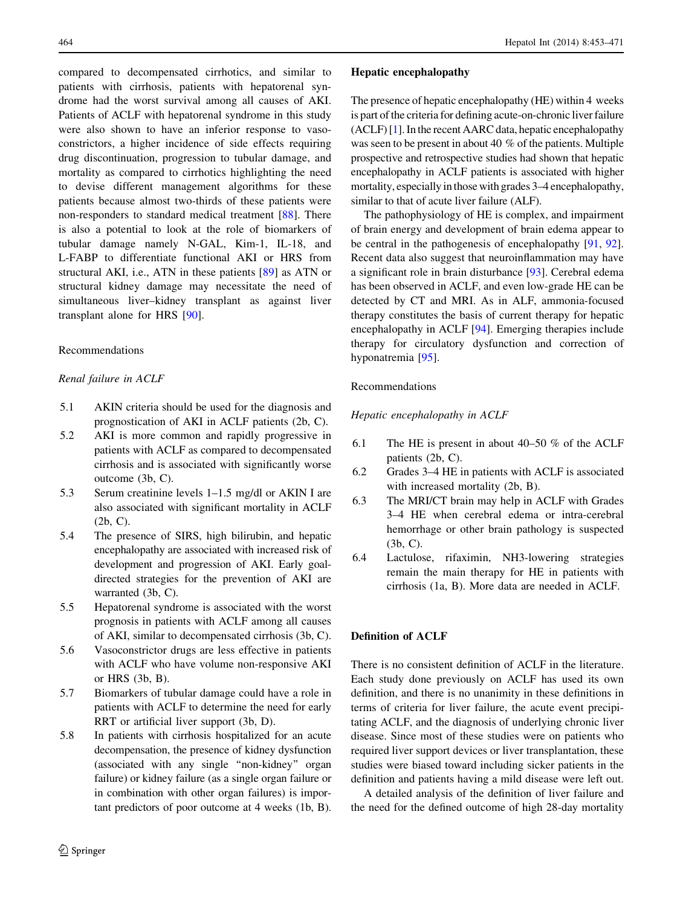compared to decompensated cirrhotics, and similar to patients with cirrhosis, patients with hepatorenal syndrome had the worst survival among all causes of AKI. Patients of ACLF with hepatorenal syndrome in this study were also shown to have an inferior response to vasoconstrictors, a higher incidence of side effects requiring drug discontinuation, progression to tubular damage, and mortality as compared to cirrhotics highlighting the need to devise different management algorithms for these patients because almost two-thirds of these patients were non-responders to standard medical treatment [\[88](#page-17-0)]. There is also a potential to look at the role of biomarkers of tubular damage namely N-GAL, Kim-1, IL-18, and L-FABP to differentiate functional AKI or HRS from structural AKI, i.e., ATN in these patients [\[89](#page-17-0)] as ATN or structural kidney damage may necessitate the need of simultaneous liver–kidney transplant as against liver transplant alone for HRS [[90\]](#page-17-0).

## Recommendations

# Renal failure in ACLF

- 5.1 AKIN criteria should be used for the diagnosis and prognostication of AKI in ACLF patients (2b, C).
- 5.2 AKI is more common and rapidly progressive in patients with ACLF as compared to decompensated cirrhosis and is associated with significantly worse outcome (3b, C).
- 5.3 Serum creatinine levels 1–1.5 mg/dl or AKIN I are also associated with significant mortality in ACLF (2b, C).
- 5.4 The presence of SIRS, high bilirubin, and hepatic encephalopathy are associated with increased risk of development and progression of AKI. Early goaldirected strategies for the prevention of AKI are warranted (3b, C).
- 5.5 Hepatorenal syndrome is associated with the worst prognosis in patients with ACLF among all causes of AKI, similar to decompensated cirrhosis (3b, C).
- 5.6 Vasoconstrictor drugs are less effective in patients with ACLF who have volume non-responsive AKI or HRS (3b, B).
- 5.7 Biomarkers of tubular damage could have a role in patients with ACLF to determine the need for early RRT or artificial liver support (3b, D).
- 5.8 In patients with cirrhosis hospitalized for an acute decompensation, the presence of kidney dysfunction (associated with any single ''non-kidney'' organ failure) or kidney failure (as a single organ failure or in combination with other organ failures) is important predictors of poor outcome at 4 weeks (1b, B).

## Hepatic encephalopathy

The presence of hepatic encephalopathy (HE) within 4 weeks is part of the criteria for defining acute-on-chronic liver failure (ACLF) [[1](#page-15-0)]. In the recent AARC data, hepatic encephalopathy was seen to be present in about 40 % of the patients. Multiple prospective and retrospective studies had shown that hepatic encephalopathy in ACLF patients is associated with higher mortality, especially in those with grades 3–4 encephalopathy, similar to that of acute liver failure (ALF).

The pathophysiology of HE is complex, and impairment of brain energy and development of brain edema appear to be central in the pathogenesis of encephalopathy [[91,](#page-17-0) [92](#page-17-0)]. Recent data also suggest that neuroinflammation may have a significant role in brain disturbance [\[93](#page-17-0)]. Cerebral edema has been observed in ACLF, and even low-grade HE can be detected by CT and MRI. As in ALF, ammonia-focused therapy constitutes the basis of current therapy for hepatic encephalopathy in ACLF [\[94](#page-17-0)]. Emerging therapies include therapy for circulatory dysfunction and correction of hyponatremia [[95\]](#page-17-0).

## Recommendations

Hepatic encephalopathy in ACLF

- 6.1 The HE is present in about 40–50 % of the ACLF patients (2b, C).
- 6.2 Grades 3–4 HE in patients with ACLF is associated with increased mortality (2b, B).
- 6.3 The MRI/CT brain may help in ACLF with Grades 3–4 HE when cerebral edema or intra-cerebral hemorrhage or other brain pathology is suspected (3b, C).
- 6.4 Lactulose, rifaximin, NH3-lowering strategies remain the main therapy for HE in patients with cirrhosis (1a, B). More data are needed in ACLF.

# Definition of ACLF

There is no consistent definition of ACLF in the literature. Each study done previously on ACLF has used its own definition, and there is no unanimity in these definitions in terms of criteria for liver failure, the acute event precipitating ACLF, and the diagnosis of underlying chronic liver disease. Since most of these studies were on patients who required liver support devices or liver transplantation, these studies were biased toward including sicker patients in the definition and patients having a mild disease were left out.

A detailed analysis of the definition of liver failure and the need for the defined outcome of high 28-day mortality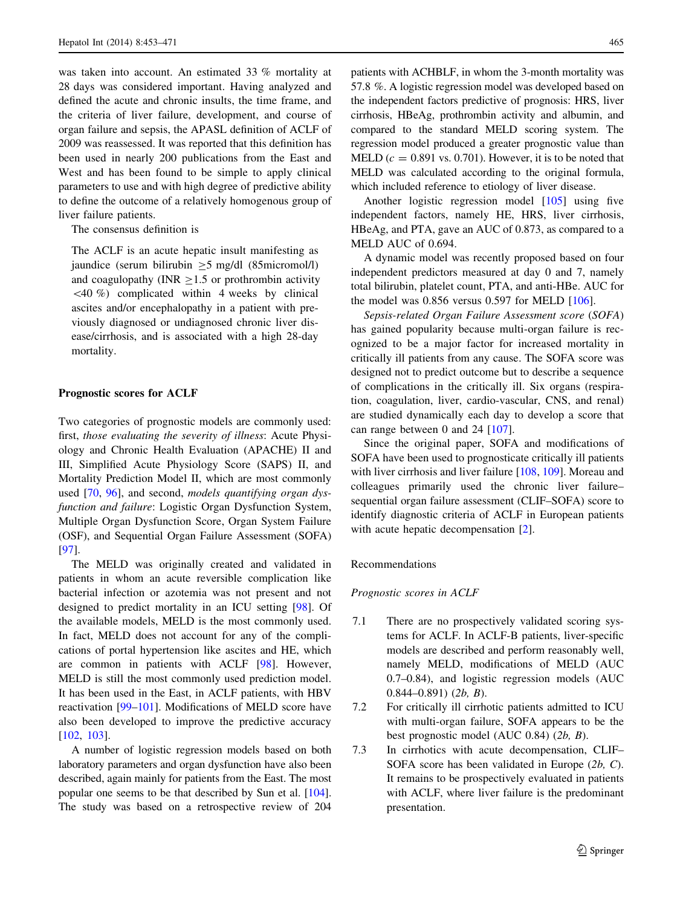was taken into account. An estimated 33 % mortality at 28 days was considered important. Having analyzed and defined the acute and chronic insults, the time frame, and the criteria of liver failure, development, and course of organ failure and sepsis, the APASL definition of ACLF of 2009 was reassessed. It was reported that this definition has been used in nearly 200 publications from the East and West and has been found to be simple to apply clinical parameters to use and with high degree of predictive ability to define the outcome of a relatively homogenous group of liver failure patients.

The consensus definition is

The ACLF is an acute hepatic insult manifesting as jaundice (serum bilirubin  $>5$  mg/dl (85micromol/l) and coagulopathy (INR  $\geq$ 1.5 or prothrombin activity  $\langle 40 \, \% \rangle$  complicated within 4 weeks by clinical ascites and/or encephalopathy in a patient with previously diagnosed or undiagnosed chronic liver disease/cirrhosis, and is associated with a high 28-day mortality.

# Prognostic scores for ACLF

Two categories of prognostic models are commonly used: first, those evaluating the severity of illness: Acute Physiology and Chronic Health Evaluation (APACHE) II and III, Simplified Acute Physiology Score (SAPS) II, and Mortality Prediction Model II, which are most commonly used [\[70](#page-17-0), [96](#page-17-0)], and second, *models quantifying organ dys*function and failure: Logistic Organ Dysfunction System, Multiple Organ Dysfunction Score, Organ System Failure (OSF), and Sequential Organ Failure Assessment (SOFA) [\[97](#page-17-0)].

The MELD was originally created and validated in patients in whom an acute reversible complication like bacterial infection or azotemia was not present and not designed to predict mortality in an ICU setting [\[98](#page-17-0)]. Of the available models, MELD is the most commonly used. In fact, MELD does not account for any of the complications of portal hypertension like ascites and HE, which are common in patients with ACLF [\[98](#page-17-0)]. However, MELD is still the most commonly used prediction model. It has been used in the East, in ACLF patients, with HBV reactivation [[99–101\]](#page-17-0). Modifications of MELD score have also been developed to improve the predictive accuracy [\[102](#page-17-0), [103\]](#page-17-0).

A number of logistic regression models based on both laboratory parameters and organ dysfunction have also been described, again mainly for patients from the East. The most popular one seems to be that described by Sun et al. [[104](#page-18-0)]. The study was based on a retrospective review of 204

patients with ACHBLF, in whom the 3-month mortality was 57.8 %. A logistic regression model was developed based on the independent factors predictive of prognosis: HRS, liver cirrhosis, HBeAg, prothrombin activity and albumin, and compared to the standard MELD scoring system. The regression model produced a greater prognostic value than MELD  $(c = 0.891 \text{ vs. } 0.701)$ . However, it is to be noted that MELD was calculated according to the original formula, which included reference to etiology of liver disease.

Another logistic regression model [[105\]](#page-18-0) using five independent factors, namely HE, HRS, liver cirrhosis, HBeAg, and PTA, gave an AUC of 0.873, as compared to a MELD AUC of 0.694.

A dynamic model was recently proposed based on four independent predictors measured at day 0 and 7, namely total bilirubin, platelet count, PTA, and anti-HBe. AUC for the model was 0.856 versus 0.597 for MELD [\[106](#page-18-0)].

Sepsis-related Organ Failure Assessment score (SOFA) has gained popularity because multi-organ failure is recognized to be a major factor for increased mortality in critically ill patients from any cause. The SOFA score was designed not to predict outcome but to describe a sequence of complications in the critically ill. Six organs (respiration, coagulation, liver, cardio-vascular, CNS, and renal) are studied dynamically each day to develop a score that can range between 0 and 24 [\[107](#page-18-0)].

Since the original paper, SOFA and modifications of SOFA have been used to prognosticate critically ill patients with liver cirrhosis and liver failure [\[108](#page-18-0), [109](#page-18-0)]. Moreau and colleagues primarily used the chronic liver failure– sequential organ failure assessment (CLIF–SOFA) score to identify diagnostic criteria of ACLF in European patients with acute hepatic decompensation [[2\]](#page-15-0).

Recommendations

Prognostic scores in ACLF

- 7.1 There are no prospectively validated scoring systems for ACLF. In ACLF-B patients, liver-specific models are described and perform reasonably well, namely MELD, modifications of MELD (AUC 0.7–0.84), and logistic regression models (AUC  $0.844 - 0.891$ ) (2b, B).
- 7.2 For critically ill cirrhotic patients admitted to ICU with multi-organ failure, SOFA appears to be the best prognostic model (AUC 0.84) (2b, B).
- 7.3 In cirrhotics with acute decompensation, CLIF– SOFA score has been validated in Europe (2b, C). It remains to be prospectively evaluated in patients with ACLF, where liver failure is the predominant presentation.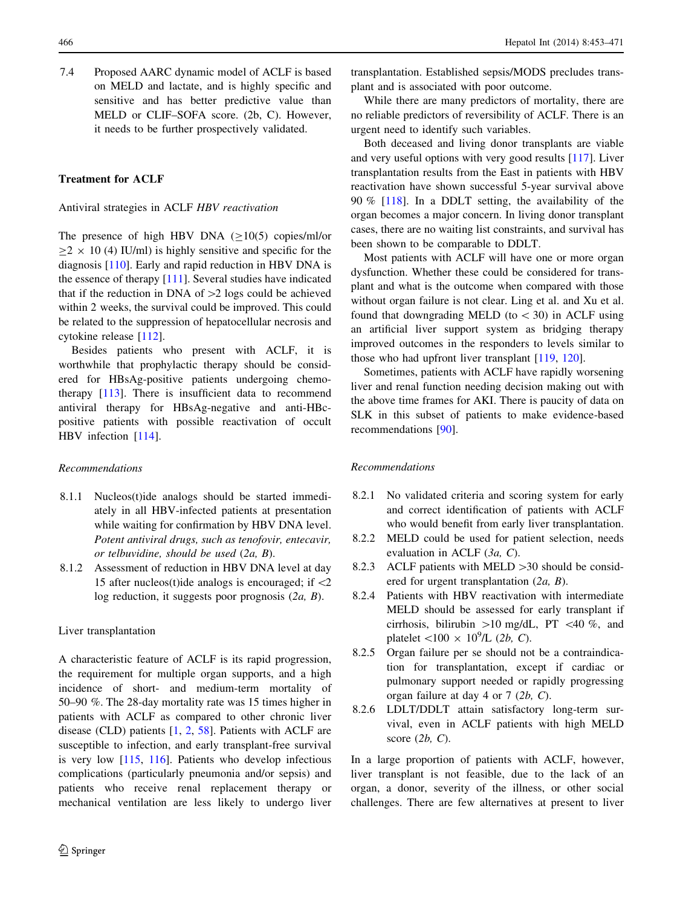7.4 Proposed AARC dynamic model of ACLF is based on MELD and lactate, and is highly specific and sensitive and has better predictive value than MELD or CLIF–SOFA score. (2b, C). However,

it needs to be further prospectively validated.

# Treatment for ACLF

Antiviral strategies in ACLF HBV reactivation

The presence of high HBV DNA  $(≥10(5)$  copies/ml/or  $\geq$  2  $\times$  10 (4) IU/ml) is highly sensitive and specific for the diagnosis [[110\]](#page-18-0). Early and rapid reduction in HBV DNA is the essence of therapy [\[111](#page-18-0)]. Several studies have indicated that if the reduction in DNA of  $>2$  logs could be achieved within 2 weeks, the survival could be improved. This could be related to the suppression of hepatocellular necrosis and cytokine release [\[112](#page-18-0)].

Besides patients who present with ACLF, it is worthwhile that prophylactic therapy should be considered for HBsAg-positive patients undergoing chemotherapy [[113\]](#page-18-0). There is insufficient data to recommend antiviral therapy for HBsAg-negative and anti-HBcpositive patients with possible reactivation of occult HBV infection [[114\]](#page-18-0).

## Recommendations

- 8.1.1 Nucleos(t)ide analogs should be started immediately in all HBV-infected patients at presentation while waiting for confirmation by HBV DNA level. Potent antiviral drugs, such as tenofovir, entecavir, or telbuvidine, should be used (2a, B).
- 8.1.2 Assessment of reduction in HBV DNA level at day 15 after nucleos(t)ide analogs is encouraged; if  $\langle 2 \rangle$ log reduction, it suggests poor prognosis  $(2a, B)$ .

# Liver transplantation

A characteristic feature of ACLF is its rapid progression, the requirement for multiple organ supports, and a high incidence of short- and medium-term mortality of 50–90 %. The 28-day mortality rate was 15 times higher in patients with ACLF as compared to other chronic liver disease (CLD) patients [\[1](#page-15-0), [2,](#page-15-0) [58\]](#page-16-0). Patients with ACLF are susceptible to infection, and early transplant-free survival is very low [[115,](#page-18-0) [116\]](#page-18-0). Patients who develop infectious complications (particularly pneumonia and/or sepsis) and patients who receive renal replacement therapy or mechanical ventilation are less likely to undergo liver

transplantation. Established sepsis/MODS precludes transplant and is associated with poor outcome.

While there are many predictors of mortality, there are no reliable predictors of reversibility of ACLF. There is an urgent need to identify such variables.

Both deceased and living donor transplants are viable and very useful options with very good results [[117\]](#page-18-0). Liver transplantation results from the East in patients with HBV reactivation have shown successful 5-year survival above 90 % [\[118](#page-18-0)]. In a DDLT setting, the availability of the organ becomes a major concern. In living donor transplant cases, there are no waiting list constraints, and survival has been shown to be comparable to DDLT.

Most patients with ACLF will have one or more organ dysfunction. Whether these could be considered for transplant and what is the outcome when compared with those without organ failure is not clear. Ling et al. and Xu et al. found that downgrading MELD (to  $<$  30) in ACLF using an artificial liver support system as bridging therapy improved outcomes in the responders to levels similar to those who had upfront liver transplant [\[119](#page-18-0), [120](#page-18-0)].

Sometimes, patients with ACLF have rapidly worsening liver and renal function needing decision making out with the above time frames for AKI. There is paucity of data on SLK in this subset of patients to make evidence-based recommendations [\[90](#page-17-0)].

## Recommendations

- 8.2.1 No validated criteria and scoring system for early and correct identification of patients with ACLF who would benefit from early liver transplantation.
- 8.2.2 MELD could be used for patient selection, needs evaluation in ACLF (3a, C).
- 8.2.3 ACLF patients with MELD  $>30$  should be considered for urgent transplantation (2a, B).
- 8.2.4 Patients with HBV reactivation with intermediate MELD should be assessed for early transplant if cirrhosis, bilirubin  $>10$  mg/dL, PT <40 %, and platelet  $\langle 100 \times 10^9 / L \ (2b, C)$ .
- 8.2.5 Organ failure per se should not be a contraindication for transplantation, except if cardiac or pulmonary support needed or rapidly progressing organ failure at day 4 or 7 (2b, C).
- 8.2.6 LDLT/DDLT attain satisfactory long-term survival, even in ACLF patients with high MELD score  $(2b, C)$ .

In a large proportion of patients with ACLF, however, liver transplant is not feasible, due to the lack of an organ, a donor, severity of the illness, or other social challenges. There are few alternatives at present to liver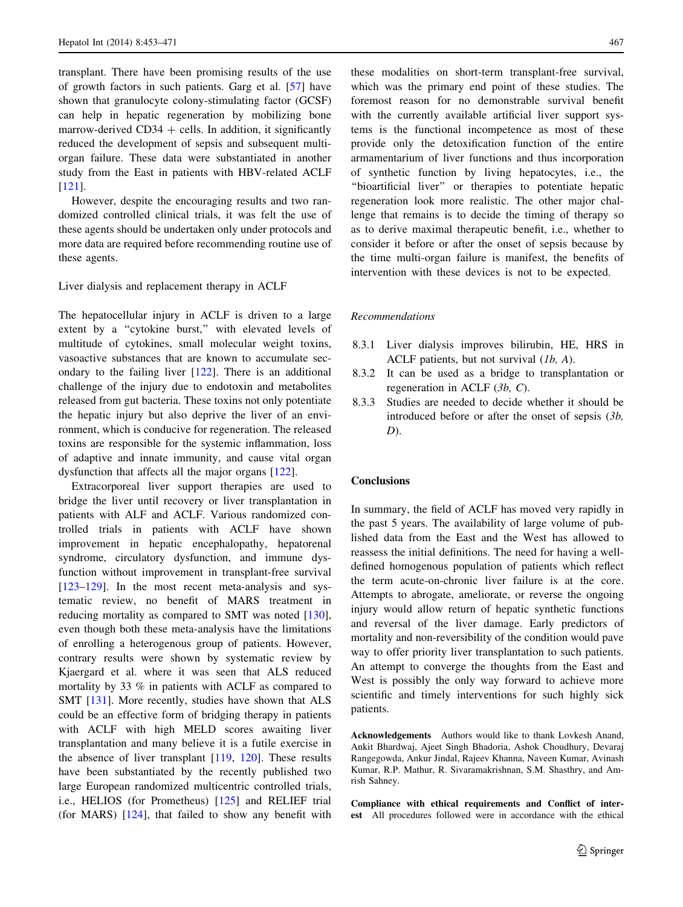transplant. There have been promising results of the use of growth factors in such patients. Garg et al. [[57\]](#page-16-0) have shown that granulocyte colony-stimulating factor (GCSF) can help in hepatic regeneration by mobilizing bone marrow-derived  $CD34 +$  cells. In addition, it significantly reduced the development of sepsis and subsequent multiorgan failure. These data were substantiated in another study from the East in patients with HBV-related ACLF [\[121](#page-18-0)].

However, despite the encouraging results and two randomized controlled clinical trials, it was felt the use of these agents should be undertaken only under protocols and more data are required before recommending routine use of these agents.

# Liver dialysis and replacement therapy in ACLF

The hepatocellular injury in ACLF is driven to a large extent by a "cytokine burst," with elevated levels of multitude of cytokines, small molecular weight toxins, vasoactive substances that are known to accumulate secondary to the failing liver [\[122](#page-18-0)]. There is an additional challenge of the injury due to endotoxin and metabolites released from gut bacteria. These toxins not only potentiate the hepatic injury but also deprive the liver of an environment, which is conducive for regeneration. The released toxins are responsible for the systemic inflammation, loss of adaptive and innate immunity, and cause vital organ dysfunction that affects all the major organs [[122\]](#page-18-0).

Extracorporeal liver support therapies are used to bridge the liver until recovery or liver transplantation in patients with ALF and ACLF. Various randomized controlled trials in patients with ACLF have shown improvement in hepatic encephalopathy, hepatorenal syndrome, circulatory dysfunction, and immune dysfunction without improvement in transplant-free survival [\[123–129](#page-18-0)]. In the most recent meta-analysis and systematic review, no benefit of MARS treatment in reducing mortality as compared to SMT was noted [\[130](#page-18-0)], even though both these meta-analysis have the limitations of enrolling a heterogenous group of patients. However, contrary results were shown by systematic review by Kjaergard et al. where it was seen that ALS reduced mortality by 33 % in patients with ACLF as compared to SMT [[131\]](#page-18-0). More recently, studies have shown that ALS could be an effective form of bridging therapy in patients with ACLF with high MELD scores awaiting liver transplantation and many believe it is a futile exercise in the absence of liver transplant  $[119, 120]$  $[119, 120]$  $[119, 120]$  $[119, 120]$ . These results have been substantiated by the recently published two large European randomized multicentric controlled trials, i.e., HELIOS (for Prometheus) [[125\]](#page-18-0) and RELIEF trial (for MARS) [\[124\]](#page-18-0), that failed to show any benefit with

these modalities on short-term transplant-free survival, which was the primary end point of these studies. The foremost reason for no demonstrable survival benefit with the currently available artificial liver support systems is the functional incompetence as most of these provide only the detoxification function of the entire armamentarium of liver functions and thus incorporation of synthetic function by living hepatocytes, i.e., the ''bioartificial liver'' or therapies to potentiate hepatic regeneration look more realistic. The other major challenge that remains is to decide the timing of therapy so as to derive maximal therapeutic benefit, i.e., whether to consider it before or after the onset of sepsis because by the time multi-organ failure is manifest, the benefits of intervention with these devices is not to be expected.

## Recommendations

- 8.3.1 Liver dialysis improves bilirubin, HE, HRS in ACLF patients, but not survival (1b, A).
- 8.3.2 It can be used as a bridge to transplantation or regeneration in ACLF (3b, C).
- 8.3.3 Studies are needed to decide whether it should be introduced before or after the onset of sepsis (3b,  $D$ ).

# Conclusions

In summary, the field of ACLF has moved very rapidly in the past 5 years. The availability of large volume of published data from the East and the West has allowed to reassess the initial definitions. The need for having a welldefined homogenous population of patients which reflect the term acute-on-chronic liver failure is at the core. Attempts to abrogate, ameliorate, or reverse the ongoing injury would allow return of hepatic synthetic functions and reversal of the liver damage. Early predictors of mortality and non-reversibility of the condition would pave way to offer priority liver transplantation to such patients. An attempt to converge the thoughts from the East and West is possibly the only way forward to achieve more scientific and timely interventions for such highly sick patients.

Acknowledgements Authors would like to thank Lovkesh Anand, Ankit Bhardwaj, Ajeet Singh Bhadoria, Ashok Choudhury, Devaraj Rangegowda, Ankur Jindal, Rajeev Khanna, Naveen Kumar, Avinash Kumar, R.P. Mathur, R. Sivaramakrishnan, S.M. Shasthry, and Amrish Sahney.

Compliance with ethical requirements and Conflict of interest All procedures followed were in accordance with the ethical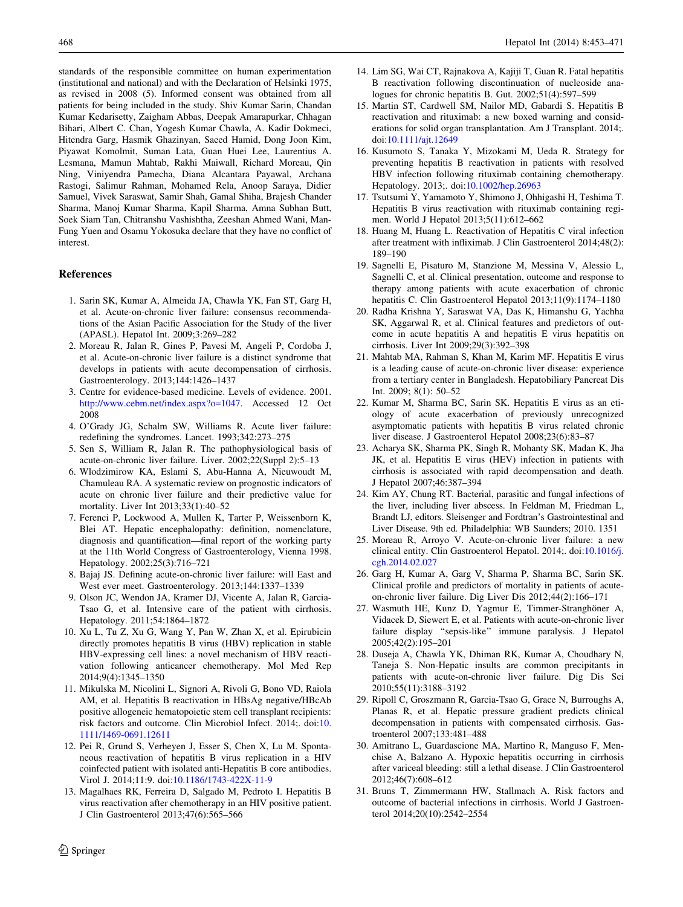standards of the responsible committee on human experimentation (institutional and national) and with the Declaration of Helsinki 1975, as revised in 2008 (5). Informed consent was obtained from all patients for being included in the study. Shiv Kumar Sarin, Chandan Kumar Kedarisetty, Zaigham Abbas, Deepak Amarapurkar, Chhagan Bihari, Albert C. Chan, Yogesh Kumar Chawla, A. Kadir Dokmeci, Hitendra Garg, Hasmik Ghazinyan, Saeed Hamid, Dong Joon Kim, Piyawat Komolmit, Suman Lata, Guan Huei Lee, Laurentius A. Lesmana, Mamun Mahtab, Rakhi Maiwall, Richard Moreau, Qin Ning, Viniyendra Pamecha, Diana Alcantara Payawal, Archana Rastogi, Salimur Rahman, Mohamed Rela, Anoop Saraya, Didier Samuel, Vivek Saraswat, Samir Shah, Gamal Shiha, Brajesh Chander Sharma, Manoj Kumar Sharma, Kapil Sharma, Amna Subhan Butt, Soek Siam Tan, Chitranshu Vashishtha, Zeeshan Ahmed Wani, Man-Fung Yuen and Osamu Yokosuka declare that they have no conflict of interest.

### References

- 1. Sarin SK, Kumar A, Almeida JA, Chawla YK, Fan ST, Garg H, et al. Acute-on-chronic liver failure: consensus recommendations of the Asian Pacific Association for the Study of the liver (APASL). Hepatol Int. 2009;3:269–282
- 2. Moreau R, Jalan R, Gines P, Pavesi M, Angeli P, Cordoba J, et al. Acute-on-chronic liver failure is a distinct syndrome that develops in patients with acute decompensation of cirrhosis. Gastroenterology. 2013;144:1426–1437
- 3. Centre for evidence-based medicine. Levels of evidence. 2001. [http://www.cebm.net/index.aspx?o=1047.](http://www.cebm.net/index.aspx?o=1047) Accessed 12 Oct 2008
- 4. O'Grady JG, Schalm SW, Williams R. Acute liver failure: redefining the syndromes. Lancet. 1993;342:273–275
- 5. Sen S, William R, Jalan R. The pathophysiological basis of acute-on-chronic liver failure. Liver. 2002;22(Suppl 2):5–13
- 6. Wlodzimirow KA, Eslami S, Abu-Hanna A, Nieuwoudt M, Chamuleau RA. A systematic review on prognostic indicators of acute on chronic liver failure and their predictive value for mortality. Liver Int 2013;33(1):40–52
- 7. Ferenci P, Lockwood A, Mullen K, Tarter P, Weissenborn K, Blei AT. Hepatic encephalopathy: definition, nomenclature, diagnosis and quantification—final report of the working party at the 11th World Congress of Gastroenterology, Vienna 1998. Hepatology. 2002;25(3):716–721
- 8. Bajaj JS. Defining acute-on-chronic liver failure: will East and West ever meet. Gastroenterology. 2013;144:1337–1339
- 9. Olson JC, Wendon JA, Kramer DJ, Vicente A, Jalan R, Garcia-Tsao G, et al. Intensive care of the patient with cirrhosis. Hepatology. 2011;54:1864–1872
- 10. Xu L, Tu Z, Xu G, Wang Y, Pan W, Zhan X, et al. Epirubicin directly promotes hepatitis B virus (HBV) replication in stable HBV-expressing cell lines: a novel mechanism of HBV reactivation following anticancer chemotherapy. Mol Med Rep 2014;9(4):1345–1350
- 11. Mikulska M, Nicolini L, Signori A, Rivoli G, Bono VD, Raiola AM, et al. Hepatitis B reactivation in HBsAg negative/HBcAb positive allogeneic hematopoietic stem cell transplant recipients: risk factors and outcome. Clin Microbiol Infect. 2014;. doi:[10.](http://dx.doi.org/10.1111/1469-0691.12611) [1111/1469-0691.12611](http://dx.doi.org/10.1111/1469-0691.12611)
- 12. Pei R, Grund S, Verheyen J, Esser S, Chen X, Lu M. Spontaneous reactivation of hepatitis B virus replication in a HIV coinfected patient with isolated anti-Hepatitis B core antibodies. Virol J. 2014;11:9. doi:[10.1186/1743-422X-11-9](http://dx.doi.org/10.1186/1743-422X-11-9)
- 13. Magalhaes RK, Ferreira D, Salgado M, Pedroto I. Hepatitis B virus reactivation after chemotherapy in an HIV positive patient. J Clin Gastroenterol 2013;47(6):565–566
- <span id="page-15-0"></span>468 Hepatol Int (2014) 8:453–471
	- 14. Lim SG, Wai CT, Rajnakova A, Kajiji T, Guan R. Fatal hepatitis B reactivation following discontinuation of nucleoside analogues for chronic hepatitis B. Gut. 2002;51(4):597–599
	- 15. Martin ST, Cardwell SM, Nailor MD, Gabardi S. Hepatitis B reactivation and rituximab: a new boxed warning and considerations for solid organ transplantation. Am J Transplant. 2014;. doi:[10.1111/ajt.12649](http://dx.doi.org/10.1111/ajt.12649)
	- 16. Kusumoto S, Tanaka Y, Mizokami M, Ueda R. Strategy for preventing hepatitis B reactivation in patients with resolved HBV infection following rituximab containing chemotherapy. Hepatology. 2013;. doi:[10.1002/hep.26963](http://dx.doi.org/10.1002/hep.26963)
	- 17. Tsutsumi Y, Yamamoto Y, Shimono J, Ohhigashi H, Teshima T. Hepatitis B virus reactivation with rituximab containing regimen. World J Hepatol 2013;5(11):612–662
	- 18. Huang M, Huang L. Reactivation of Hepatitis C viral infection after treatment with infliximab. J Clin Gastroenterol 2014;48(2): 189–190
	- 19. Sagnelli E, Pisaturo M, Stanzione M, Messina V, Alessio L, Sagnelli C, et al. Clinical presentation, outcome and response to therapy among patients with acute exacerbation of chronic hepatitis C. Clin Gastroenterol Hepatol 2013;11(9):1174–1180
	- 20. Radha Krishna Y, Saraswat VA, Das K, Himanshu G, Yachha SK, Aggarwal R, et al. Clinical features and predictors of outcome in acute hepatitis A and hepatitis E virus hepatitis on cirrhosis. Liver Int 2009;29(3):392–398
	- 21. Mahtab MA, Rahman S, Khan M, Karim MF. Hepatitis E virus is a leading cause of acute-on-chronic liver disease: experience from a tertiary center in Bangladesh. Hepatobiliary Pancreat Dis Int. 2009; 8(1): 50–52
	- 22. Kumar M, Sharma BC, Sarin SK. Hepatitis E virus as an etiology of acute exacerbation of previously unrecognized asymptomatic patients with hepatitis B virus related chronic liver disease. J Gastroenterol Hepatol 2008;23(6):83–87
	- 23. Acharya SK, Sharma PK, Singh R, Mohanty SK, Madan K, Jha JK, et al. Hepatitis E virus (HEV) infection in patients with cirrhosis is associated with rapid decompensation and death. J Hepatol 2007;46:387–394
	- 24. Kim AY, Chung RT. Bacterial, parasitic and fungal infections of the liver, including liver abscess. In Feldman M, Friedman L, Brandt LJ, editors. Sleisenger and Fordtran's Gastrointestinal and Liver Disease. 9th ed. Philadelphia: WB Saunders; 2010. 1351
	- 25. Moreau R, Arroyo V. Acute-on-chronic liver failure: a new clinical entity. Clin Gastroenterol Hepatol. 2014;. doi:[10.1016/j.](http://dx.doi.org/10.1016/j.cgh.2014.02.027) [cgh.2014.02.027](http://dx.doi.org/10.1016/j.cgh.2014.02.027)
	- 26. Garg H, Kumar A, Garg V, Sharma P, Sharma BC, Sarin SK. Clinical profile and predictors of mortality in patients of acuteon-chronic liver failure. Dig Liver Dis 2012;44(2):166–171
	- 27. Wasmuth HE, Kunz D, Yagmur E, Timmer-Stranghöner A, Vidacek D, Siewert E, et al. Patients with acute-on-chronic liver failure display ''sepsis-like'' immune paralysis. J Hepatol 2005;42(2):195–201
	- 28. Duseja A, Chawla YK, Dhiman RK, Kumar A, Choudhary N, Taneja S. Non-Hepatic insults are common precipitants in patients with acute-on-chronic liver failure. Dig Dis Sci 2010;55(11):3188–3192
	- 29. Ripoll C, Groszmann R, Garcia-Tsao G, Grace N, Burroughs A, Planas R, et al. Hepatic pressure gradient predicts clinical decompensation in patients with compensated cirrhosis. Gastroenterol 2007;133:481–488
	- 30. Amitrano L, Guardascione MA, Martino R, Manguso F, Menchise A, Balzano A. Hypoxic hepatitis occurring in cirrhosis after variceal bleeding: still a lethal disease. J Clin Gastroenterol 2012;46(7):608–612
	- 31. Bruns T, Zimmermann HW, Stallmach A. Risk factors and outcome of bacterial infections in cirrhosis. World J Gastroenterol 2014;20(10):2542–2554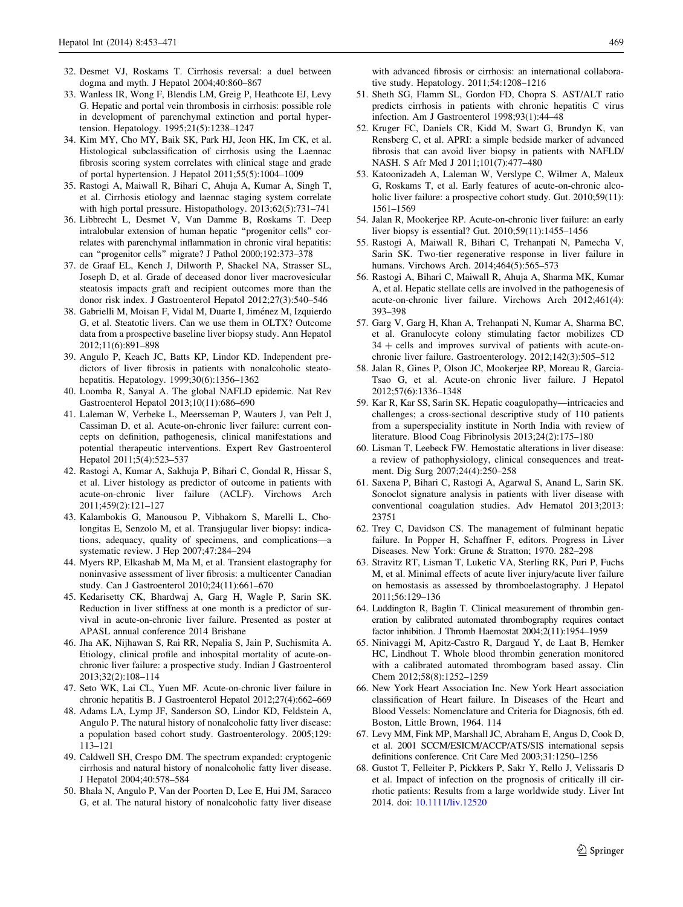- <span id="page-16-0"></span>32. Desmet VJ, Roskams T. Cirrhosis reversal: a duel between dogma and myth. J Hepatol 2004;40:860–867
- 33. Wanless IR, Wong F, Blendis LM, Greig P, Heathcote EJ, Levy G. Hepatic and portal vein thrombosis in cirrhosis: possible role in development of parenchymal extinction and portal hypertension. Hepatology. 1995;21(5):1238–1247
- 34. Kim MY, Cho MY, Baik SK, Park HJ, Jeon HK, Im CK, et al. Histological subclassification of cirrhosis using the Laennac fibrosis scoring system correlates with clinical stage and grade of portal hypertension. J Hepatol 2011;55(5):1004–1009
- 35. Rastogi A, Maiwall R, Bihari C, Ahuja A, Kumar A, Singh T, et al. Cirrhosis etiology and laennac staging system correlate with high portal pressure. Histopathology. 2013;62(5):731–741
- 36. Libbrecht L, Desmet V, Van Damme B, Roskams T. Deep intralobular extension of human hepatic "progenitor cells" correlates with parenchymal inflammation in chronic viral hepatitis: can ''progenitor cells'' migrate? J Pathol 2000;192:373–378
- 37. de Graaf EL, Kench J, Dilworth P, Shackel NA, Strasser SL, Joseph D, et al. Grade of deceased donor liver macrovesicular steatosis impacts graft and recipient outcomes more than the donor risk index. J Gastroenterol Hepatol 2012;27(3):540–546
- 38. Gabrielli M, Moisan F, Vidal M, Duarte I, Jiménez M, Izquierdo G, et al. Steatotic livers. Can we use them in OLTX? Outcome data from a prospective baseline liver biopsy study. Ann Hepatol 2012;11(6):891–898
- 39. Angulo P, Keach JC, Batts KP, Lindor KD. Independent predictors of liver fibrosis in patients with nonalcoholic steatohepatitis. Hepatology. 1999;30(6):1356–1362
- 40. Loomba R, Sanyal A. The global NAFLD epidemic. Nat Rev Gastroenterol Hepatol 2013;10(11):686–690
- 41. Laleman W, Verbeke L, Meersseman P, Wauters J, van Pelt J, Cassiman D, et al. Acute-on-chronic liver failure: current concepts on definition, pathogenesis, clinical manifestations and potential therapeutic interventions. Expert Rev Gastroenterol Hepatol 2011;5(4):523–537
- 42. Rastogi A, Kumar A, Sakhuja P, Bihari C, Gondal R, Hissar S, et al. Liver histology as predictor of outcome in patients with acute-on-chronic liver failure (ACLF). Virchows Arch 2011;459(2):121–127
- 43. Kalambokis G, Manousou P, Vibhakorn S, Marelli L, Cholongitas E, Senzolo M, et al. Transjugular liver biopsy: indications, adequacy, quality of specimens, and complications—a systematic review. J Hep 2007;47:284–294
- 44. Myers RP, Elkashab M, Ma M, et al. Transient elastography for noninvasive assessment of liver fibrosis: a multicenter Canadian study. Can J Gastroenterol 2010;24(11):661–670
- 45. Kedarisetty CK, Bhardwaj A, Garg H, Wagle P, Sarin SK. Reduction in liver stiffness at one month is a predictor of survival in acute-on-chronic liver failure. Presented as poster at APASL annual conference 2014 Brisbane
- 46. Jha AK, Nijhawan S, Rai RR, Nepalia S, Jain P, Suchismita A. Etiology, clinical profile and inhospital mortality of acute-onchronic liver failure: a prospective study. Indian J Gastroenterol 2013;32(2):108–114
- 47. Seto WK, Lai CL, Yuen MF. Acute-on-chronic liver failure in chronic hepatitis B. J Gastroenterol Hepatol 2012;27(4):662–669
- 48. Adams LA, Lymp JF, Sanderson SO, Lindor KD, Feldstein A, Angulo P. The natural history of nonalcoholic fatty liver disease: a population based cohort study. Gastroenterology. 2005;129: 113–121
- 49. Caldwell SH, Crespo DM. The spectrum expanded: cryptogenic cirrhosis and natural history of nonalcoholic fatty liver disease. J Hepatol 2004;40:578–584
- 50. Bhala N, Angulo P, Van der Poorten D, Lee E, Hui JM, Saracco G, et al. The natural history of nonalcoholic fatty liver disease

with advanced fibrosis or cirrhosis: an international collaborative study. Hepatology. 2011;54:1208–1216

- 51. Sheth SG, Flamm SL, Gordon FD, Chopra S. AST/ALT ratio predicts cirrhosis in patients with chronic hepatitis C virus infection. Am J Gastroenterol 1998;93(1):44–48
- 52. Kruger FC, Daniels CR, Kidd M, Swart G, Brundyn K, van Rensberg C, et al. APRI: a simple bedside marker of advanced fibrosis that can avoid liver biopsy in patients with NAFLD/ NASH. S Afr Med J 2011;101(7):477–480
- 53. Katoonizadeh A, Laleman W, Verslype C, Wilmer A, Maleux G, Roskams T, et al. Early features of acute-on-chronic alcoholic liver failure: a prospective cohort study. Gut. 2010;59(11): 1561–1569
- 54. Jalan R, Mookerjee RP. Acute-on-chronic liver failure: an early liver biopsy is essential? Gut. 2010;59(11):1455–1456
- 55. Rastogi A, Maiwall R, Bihari C, Trehanpati N, Pamecha V, Sarin SK. Two-tier regenerative response in liver failure in humans. Virchows Arch. 2014;464(5):565–573
- 56. Rastogi A, Bihari C, Maiwall R, Ahuja A, Sharma MK, Kumar A, et al. Hepatic stellate cells are involved in the pathogenesis of acute-on-chronic liver failure. Virchows Arch 2012;461(4): 393–398
- 57. Garg V, Garg H, Khan A, Trehanpati N, Kumar A, Sharma BC, et al. Granulocyte colony stimulating factor mobilizes CD  $34 +$  cells and improves survival of patients with acute-onchronic liver failure. Gastroenterology. 2012;142(3):505–512
- 58. Jalan R, Gines P, Olson JC, Mookerjee RP, Moreau R, Garcia-Tsao G, et al. Acute-on chronic liver failure. J Hepatol 2012;57(6):1336–1348
- 59. Kar R, Kar SS, Sarin SK. Hepatic coagulopathy—intricacies and challenges; a cross-sectional descriptive study of 110 patients from a superspeciality institute in North India with review of literature. Blood Coag Fibrinolysis 2013;24(2):175–180
- 60. Lisman T, Leebeck FW. Hemostatic alterations in liver disease: a review of pathophysiology, clinical consequences and treatment. Dig Surg 2007;24(4):250–258
- 61. Saxena P, Bihari C, Rastogi A, Agarwal S, Anand L, Sarin SK. Sonoclot signature analysis in patients with liver disease with conventional coagulation studies. Adv Hematol 2013;2013: 23751
- 62. Trey C, Davidson CS. The management of fulminant hepatic failure. In Popper H, Schaffner F, editors. Progress in Liver Diseases. New York: Grune & Stratton; 1970. 282–298
- 63. Stravitz RT, Lisman T, Luketic VA, Sterling RK, Puri P, Fuchs M, et al. Minimal effects of acute liver injury/acute liver failure on hemostasis as assessed by thromboelastography. J Hepatol 2011;56:129–136
- 64. Luddington R, Baglin T. Clinical measurement of thrombin generation by calibrated automated thrombography requires contact factor inhibition. J Thromb Haemostat 2004;2(11):1954–1959
- 65. Ninivaggi M, Apitz-Castro R, Dargaud Y, de Laat B, Hemker HC, Lindhout T. Whole blood thrombin generation monitored with a calibrated automated thrombogram based assay. Clin Chem 2012;58(8):1252–1259
- 66. New York Heart Association Inc. New York Heart association classification of Heart failure. In Diseases of the Heart and Blood Vessels: Nomenclature and Criteria for Diagnosis, 6th ed. Boston, Little Brown, 1964. 114
- 67. Levy MM, Fink MP, Marshall JC, Abraham E, Angus D, Cook D, et al. 2001 SCCM/ESICM/ACCP/ATS/SIS international sepsis definitions conference. Crit Care Med 2003;31:1250–1256
- 68. Gustot T, Felleiter P, Pickkers P, Sakr Y, Rello J, Velissaris D et al. Impact of infection on the prognosis of critically ill cirrhotic patients: Results from a large worldwide study. Liver Int 2014. doi: [10.1111/liv.12520](http://dx.doi.org/10.1111/liv.12520)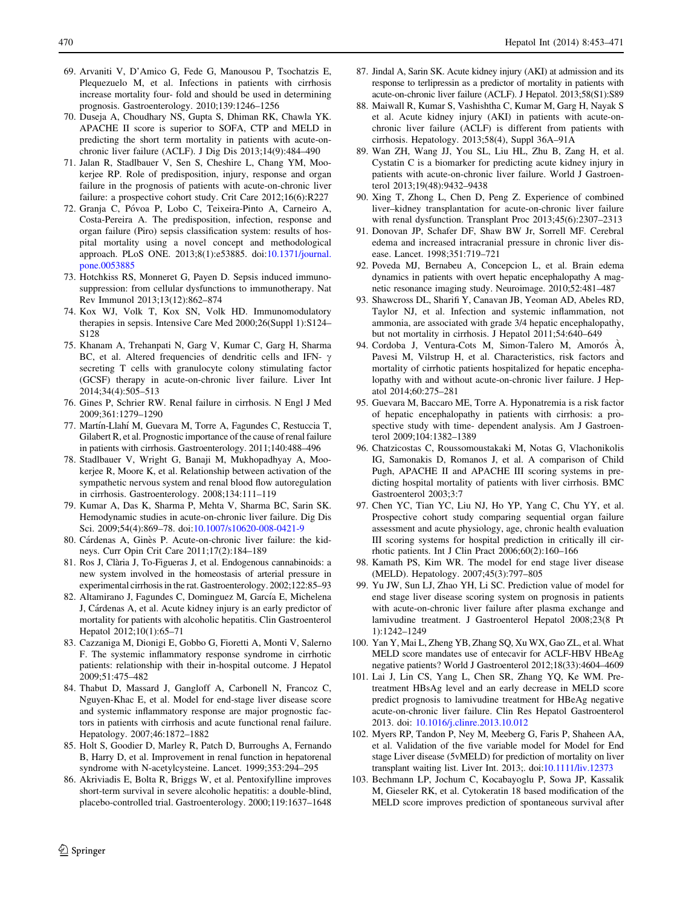- <span id="page-17-0"></span>69. Arvaniti V, D'Amico G, Fede G, Manousou P, Tsochatzis E, Plequezuelo M, et al. Infections in patients with cirrhosis increase mortality four- fold and should be used in determining prognosis. Gastroenterology. 2010;139:1246–1256
- 70. Duseja A, Choudhary NS, Gupta S, Dhiman RK, Chawla YK. APACHE II score is superior to SOFA, CTP and MELD in predicting the short term mortality in patients with acute-onchronic liver failure (ACLF). J Dig Dis 2013;14(9):484–490
- 71. Jalan R, Stadlbauer V, Sen S, Cheshire L, Chang YM, Mookerjee RP. Role of predisposition, injury, response and organ failure in the prognosis of patients with acute-on-chronic liver failure: a prospective cohort study. Crit Care 2012;16(6):R227
- 72. Granja C, Póvoa P, Lobo C, Teixeira-Pinto A, Carneiro A, Costa-Pereira A. The predisposition, infection, response and organ failure (Piro) sepsis classification system: results of hospital mortality using a novel concept and methodological approach. PLoS ONE. 2013;8(1):e53885. doi[:10.1371/journal.](http://dx.doi.org/10.1371/journal.pone.0053885) [pone.0053885](http://dx.doi.org/10.1371/journal.pone.0053885)
- 73. Hotchkiss RS, Monneret G, Payen D. Sepsis induced immunosuppression: from cellular dysfunctions to immunotherapy. Nat Rev Immunol 2013;13(12):862–874
- 74. Kox WJ, Volk T, Kox SN, Volk HD. Immunomodulatory therapies in sepsis. Intensive Care Med 2000;26(Suppl 1):S124– S128
- 75. Khanam A, Trehanpati N, Garg V, Kumar C, Garg H, Sharma BC, et al. Altered frequencies of dendritic cells and IFN-  $\gamma$ secreting T cells with granulocyte colony stimulating factor (GCSF) therapy in acute-on-chronic liver failure. Liver Int 2014;34(4):505–513
- 76. Gines P, Schrier RW. Renal failure in cirrhosis. N Engl J Med 2009;361:1279–1290
- 77. Martín-Llahí M, Guevara M, Torre A, Fagundes C, Restuccia T, Gilabert R, et al. Prognostic importance of the cause of renal failure in patients with cirrhosis. Gastroenterology. 2011;140:488–496
- 78. Stadlbauer V, Wright G, Banaji M, Mukhopadhyay A, Mookerjee R, Moore K, et al. Relationship between activation of the sympathetic nervous system and renal blood flow autoregulation in cirrhosis. Gastroenterology. 2008;134:111–119
- 79. Kumar A, Das K, Sharma P, Mehta V, Sharma BC, Sarin SK. Hemodynamic studies in acute-on-chronic liver failure. Dig Dis Sci. 2009;54(4):869–78. doi:[10.1007/s10620-008-0421-9](http://dx.doi.org/10.1007/s10620-008-0421-9)
- 80. Cárdenas A, Ginès P. Acute-on-chronic liver failure: the kidneys. Curr Opin Crit Care 2011;17(2):184–189
- 81. Ros J, Clària J, To-Figueras J, et al. Endogenous cannabinoids: a new system involved in the homeostasis of arterial pressure in experimental cirrhosis in the rat. Gastroenterology. 2002;122:85–93
- 82. Altamirano J, Fagundes C, Dominguez M, García E, Michelena J, Cárdenas A, et al. Acute kidney injury is an early predictor of mortality for patients with alcoholic hepatitis. Clin Gastroenterol Hepatol 2012;10(1):65–71
- 83. Cazzaniga M, Dionigi E, Gobbo G, Fioretti A, Monti V, Salerno F. The systemic inflammatory response syndrome in cirrhotic patients: relationship with their in-hospital outcome. J Hepatol 2009;51:475–482
- 84. Thabut D, Massard J, Gangloff A, Carbonell N, Francoz C, Nguyen-Khac E, et al. Model for end-stage liver disease score and systemic inflammatory response are major prognostic factors in patients with cirrhosis and acute functional renal failure. Hepatology. 2007;46:1872–1882
- 85. Holt S, Goodier D, Marley R, Patch D, Burroughs A, Fernando B, Harry D, et al. Improvement in renal function in hepatorenal syndrome with N-acetylcysteine. Lancet. 1999;353:294–295
- 86. Akriviadis E, Bolta R, Briggs W, et al. Pentoxifylline improves short-term survival in severe alcoholic hepatitis: a double-blind, placebo-controlled trial. Gastroenterology. 2000;119:1637–1648
- 87. Jindal A, Sarin SK. Acute kidney injury (AKI) at admission and its response to terlipressin as a predictor of mortality in patients with acute-on-chronic liver failure (ACLF). J Hepatol. 2013;58(S1):S89
- 88. Maiwall R, Kumar S, Vashishtha C, Kumar M, Garg H, Nayak S et al. Acute kidney injury (AKI) in patients with acute-onchronic liver failure (ACLF) is different from patients with cirrhosis. Hepatology. 2013;58(4), Suppl 36A–91A
- 89. Wan ZH, Wang JJ, You SL, Liu HL, Zhu B, Zang H, et al. Cystatin C is a biomarker for predicting acute kidney injury in patients with acute-on-chronic liver failure. World J Gastroenterol 2013;19(48):9432–9438
- 90. Xing T, Zhong L, Chen D, Peng Z. Experience of combined liver–kidney transplantation for acute-on-chronic liver failure with renal dysfunction. Transplant Proc 2013;45(6):2307–2313
- 91. Donovan JP, Schafer DF, Shaw BW Jr, Sorrell MF. Cerebral edema and increased intracranial pressure in chronic liver disease. Lancet. 1998;351:719–721
- 92. Poveda MJ, Bernabeu A, Concepcion L, et al. Brain edema dynamics in patients with overt hepatic encephalopathy A magnetic resonance imaging study. Neuroimage. 2010;52:481–487
- 93. Shawcross DL, Sharifi Y, Canavan JB, Yeoman AD, Abeles RD, Taylor NJ, et al. Infection and systemic inflammation, not ammonia, are associated with grade 3/4 hepatic encephalopathy, but not mortality in cirrhosis. J Hepatol 2011;54:640–649
- 94. Cordoba J, Ventura-Cots M, Simon-Talero M, Amorós A, Pavesi M, Vilstrup H, et al. Characteristics, risk factors and mortality of cirrhotic patients hospitalized for hepatic encephalopathy with and without acute-on-chronic liver failure. J Hepatol 2014;60:275–281
- 95. Guevara M, Baccaro ME, Torre A. Hyponatremia is a risk factor of hepatic encephalopathy in patients with cirrhosis: a prospective study with time- dependent analysis. Am J Gastroenterol 2009;104:1382–1389
- 96. Chatzicostas C, Roussomoustakaki M, Notas G, Vlachonikolis IG, Samonakis D, Romanos J, et al. A comparison of Child Pugh, APACHE II and APACHE III scoring systems in predicting hospital mortality of patients with liver cirrhosis. BMC Gastroenterol 2003;3:7
- 97. Chen YC, Tian YC, Liu NJ, Ho YP, Yang C, Chu YY, et al. Prospective cohort study comparing sequential organ failure assessment and acute physiology, age, chronic health evaluation III scoring systems for hospital prediction in critically ill cirrhotic patients. Int J Clin Pract 2006;60(2):160–166
- 98. Kamath PS, Kim WR. The model for end stage liver disease (MELD). Hepatology. 2007;45(3):797–805
- 99. Yu JW, Sun LJ, Zhao YH, Li SC. Prediction value of model for end stage liver disease scoring system on prognosis in patients with acute-on-chronic liver failure after plasma exchange and lamivudine treatment. J Gastroenterol Hepatol 2008;23(8 Pt 1):1242–1249
- 100. Yan Y, Mai L, Zheng YB, Zhang SQ, Xu WX, Gao ZL, et al. What MELD score mandates use of entecavir for ACLF-HBV HBeAg negative patients? World J Gastroenterol 2012;18(33):4604–4609
- 101. Lai J, Lin CS, Yang L, Chen SR, Zhang YQ, Ke WM. Pretreatment HBsAg level and an early decrease in MELD score predict prognosis to lamivudine treatment for HBeAg negative acute-on-chronic liver failure. Clin Res Hepatol Gastroenterol 2013. doi: [10.1016/j.clinre.2013.10.012](http://dx.doi.org/10.1016/j.clinre.2013.10.012)
- 102. Myers RP, Tandon P, Ney M, Meeberg G, Faris P, Shaheen AA, et al. Validation of the five variable model for Model for End stage Liver disease (5vMELD) for prediction of mortality on liver transplant waiting list. Liver Int. 2013;. doi[:10.1111/liv.12373](http://dx.doi.org/10.1111/liv.12373)
- 103. Bechmann LP, Jochum C, Kocabayoglu P, Sowa JP, Kassalik M, Gieseler RK, et al. Cytokeratin 18 based modification of the MELD score improves prediction of spontaneous survival after